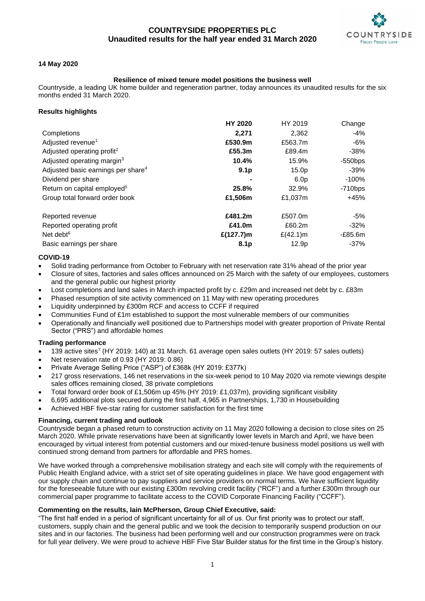

## **14 May 2020**

## **Resilience of mixed tenure model positions the business well**

Countryside, a leading UK home builder and regeneration partner, today announces its unaudited results for the six months ended 31 March 2020.

## **Results highlights**

|                                                | <b>HY 2020</b>   | HY 2019           | Change     |
|------------------------------------------------|------------------|-------------------|------------|
| Completions                                    | 2,271            | 2,362             | -4%        |
| Adjusted revenue <sup>1</sup>                  | £530.9m          | £563.7m           | $-6%$      |
| Adjusted operating profit <sup>2</sup>         | £55.3m           | £89.4m            | $-38%$     |
| Adjusted operating margin <sup>3</sup>         | 10.4%            | 15.9%             | $-550$ bps |
| Adjusted basic earnings per share <sup>4</sup> | 9.1 <sub>p</sub> | 15.0 <sub>p</sub> | $-39%$     |
| Dividend per share                             |                  | 6.0 <sub>p</sub>  | $-100%$    |
| Return on capital employed <sup>5</sup>        | 25.8%            | 32.9%             | $-710bps$  |
| Group total forward order book                 | £1,506m          | £1,037m           | +45%       |
| Reported revenue                               | £481.2m          | £507.0m           | -5%        |
| Reported operating profit                      | £41.0m           | £60.2m            | $-32%$     |
| Net debt $6$                                   | £ $(127.7)$ m    | £ $(42.1)$ m      | $-E85.6m$  |
| Basic earnings per share                       | 8.1 <sub>p</sub> | 12.9 <sub>p</sub> | $-37%$     |

## **COVID-19**

- Solid trading performance from October to February with net reservation rate 31% ahead of the prior year
- Closure of sites, factories and sales offices announced on 25 March with the safety of our employees, customers and the general public our highest priority
- Lost completions and land sales in March impacted profit by c. £29m and increased net debt by c. £83m
- Phased resumption of site activity commenced on 11 May with new operating procedures
- Liquidity underpinned by £300m RCF and access to CCFF if required
- Communities Fund of £1m established to support the most vulnerable members of our communities
- Operationally and financially well positioned due to Partnerships model with greater proportion of Private Rental Sector ("PRS") and affordable homes

## **Trading performance**

- $\bullet$  139 active sites<sup>7</sup> (HY 2019: 140) at 31 March. 61 average open sales outlets (HY 2019: 57 sales outlets)
- Net reservation rate of 0.93 (HY 2019: 0.86)
- Private Average Selling Price ("ASP") of £368k (HY 2019: £377k)
- 217 gross reservations, 146 net reservations in the six-week period to 10 May 2020 via remote viewings despite sales offices remaining closed, 38 private completions
- Total forward order book of £1,506m up 45% (HY 2019: £1,037m), providing significant visibility
- 6,695 additional plots secured during the first half, 4,965 in Partnerships, 1,730 in Housebuilding
- Achieved HBF five-star rating for customer satisfaction for the first time

## **Financing, current trading and outlook**

Countryside began a phased return to construction activity on 11 May 2020 following a decision to close sites on 25 March 2020. While private reservations have been at significantly lower levels in March and April, we have been encouraged by virtual interest from potential customers and our mixed-tenure business model positions us well with continued strong demand from partners for affordable and PRS homes.

We have worked through a comprehensive mobilisation strategy and each site will comply with the requirements of Public Health England advice, with a strict set of site operating guidelines in place. We have good engagement with our supply chain and continue to pay suppliers and service providers on normal terms. We have sufficient liquidity for the foreseeable future with our existing £300m revolving credit facility ("RCF") and a further £300m through our commercial paper programme to facilitate access to the COVID Corporate Financing Facility ("CCFF").

## **Commenting on the results, Iain McPherson, Group Chief Executive, said:**

"The first half ended in a period of significant uncertainty for all of us. Our first priority was to protect our staff, customers, supply chain and the general public and we took the decision to temporarily suspend production on our sites and in our factories. The business had been performing well and our construction programmes were on track for full year delivery. We were proud to achieve HBF Five Star Builder status for the first time in the Group's history.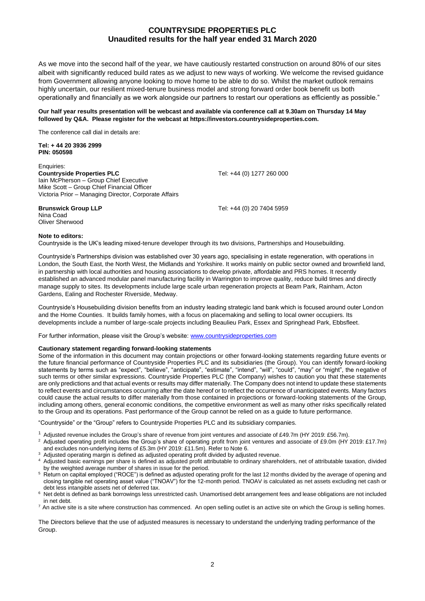As we move into the second half of the year, we have cautiously restarted construction on around 80% of our sites albeit with significantly reduced build rates as we adjust to new ways of working. We welcome the revised guidance from Government allowing anyone looking to move home to be able to do so. Whilst the market outlook remains highly uncertain, our resilient mixed-tenure business model and strong forward order book benefit us both operationally and financially as we work alongside our partners to restart our operations as efficiently as possible."

### **Our half year results presentation will be webcast and available via conference call at 9.30am on Thursday 14 May followed by Q&A. Please register for the webcast at https://investors.countrysideproperties.com.**

The conference call dial in details are:

**Tel: + 44 20 3936 2999 PIN: 050598**

Enquiries: **Countryside Properties PLC** Tel: +44 (0) 1277 260 000 Iain McPherson – Group Chief Executive Mike Scott – Group Chief Financial Officer Victoria Prior – Managing Director, Corporate Affairs

Nina Coad

Oliver Sherwood

**Brunswick Group LLP** Tel: +44 (0) 20 7404 5959

### **Note to editors:**

Countryside is the UK's leading mixed-tenure developer through its two divisions, Partnerships and Housebuilding.

Countryside's Partnerships division was established over 30 years ago, specialising in estate regeneration, with operations in London, the South East, the North West, the Midlands and Yorkshire. It works mainly on public sector owned and brownfield land, in partnership with local authorities and housing associations to develop private, affordable and PRS homes. It recently established an advanced modular panel manufacturing facility in Warrington to improve quality, reduce build times and directly manage supply to sites. Its developments include large scale urban regeneration projects at Beam Park, Rainham, Acton Gardens, Ealing and Rochester Riverside, Medway.

Countryside's Housebuilding division benefits from an industry leading strategic land bank which is focused around outer London and the Home Counties. It builds family homes, with a focus on placemaking and selling to local owner occupiers. Its developments include a number of large-scale projects including Beaulieu Park, Essex and Springhead Park, Ebbsfleet.

For further information, please visit the Group's website: [www.countrysideproperties.com](http://www.countrysideproperties.com/)

### **Cautionary statement regarding forward-looking statements**

Some of the information in this document may contain projections or other forward-looking statements regarding future events or the future financial performance of Countryside Properties PLC and its subsidiaries (the Group). You can identify forward-looking statements by terms such as "expect", "believe", "anticipate", "estimate", "intend", "will", "could", "may" or "might", the negative of such terms or other similar expressions. Countryside Properties PLC (the Company) wishes to caution you that these statements are only predictions and that actual events or results may differ materially. The Company does not intend to update these statements to reflect events and circumstances occurring after the date hereof or to reflect the occurrence of unanticipated events. Many factors could cause the actual results to differ materially from those contained in projections or forward-looking statements of the Group, including among others, general economic conditions, the competitive environment as well as many other risks specifically related to the Group and its operations. Past performance of the Group cannot be relied on as a guide to future performance.

"Countryside" or the "Group" refers to Countryside Properties PLC and its subsidiary companies.

- 1 Adjusted revenue includes the Group's share of revenue from joint ventures and associate of £49.7m (HY 2019: £56.7m).<br>2 Adjusted operating profit includes the Group's share of operating profit from joint ventures and as
- <sup>2</sup> Adjusted operating profit includes the Group's share of operating profit from joint ventures and associate of £9.0m (HY 2019: £17.7m) and excludes non-underlying items of £5.3m (HY 2019: £11.5m). Refer to Note 6.
- <sup>3</sup> Adjusted operating margin is defined as adjusted operating profit divided by adjusted revenue.
- <sup>4</sup>Adjusted basic earnings per share is defined as adjusted profit attributable to ordinary shareholders, net of attributable taxation, divided by the weighted average number of shares in issue for the period.
- <sup>5</sup>Return on capital employed ("ROCE") is defined as adjusted operating profit for the last 12 months divided by the average of opening and closing tangible net operating asset value ("TNOAV") for the 12-month period. TNOAV is calculated as net assets excluding net cash or debt less intangible assets net of deferred tax.
- <sup>6</sup> Net debt is defined as bank borrowings less unrestricted cash. Unamortised debt arrangement fees and lease obligations are not included in net debt.

 $7$  An active site is a site where construction has commenced. An open selling outlet is an active site on which the Group is selling homes.

The Directors believe that the use of adjusted measures is necessary to understand the underlying trading performance of the **Group.**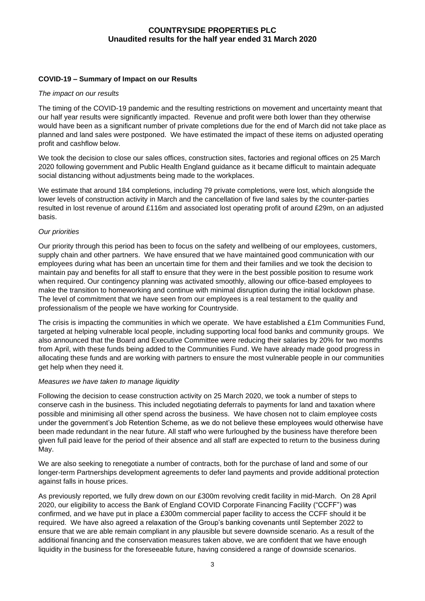## **COVID-19 – Summary of Impact on our Results**

## *The impact on our results*

The timing of the COVID-19 pandemic and the resulting restrictions on movement and uncertainty meant that our half year results were significantly impacted. Revenue and profit were both lower than they otherwise would have been as a significant number of private completions due for the end of March did not take place as planned and land sales were postponed. We have estimated the impact of these items on adjusted operating profit and cashflow below.

We took the decision to close our sales offices, construction sites, factories and regional offices on 25 March 2020 following government and Public Health England guidance as it became difficult to maintain adequate social distancing without adjustments being made to the workplaces.

We estimate that around 184 completions, including 79 private completions, were lost, which alongside the lower levels of construction activity in March and the cancellation of five land sales by the counter-parties resulted in lost revenue of around £116m and associated lost operating profit of around £29m, on an adjusted basis.

## *Our priorities*

Our priority through this period has been to focus on the safety and wellbeing of our employees, customers, supply chain and other partners. We have ensured that we have maintained good communication with our employees during what has been an uncertain time for them and their families and we took the decision to maintain pay and benefits for all staff to ensure that they were in the best possible position to resume work when required. Our contingency planning was activated smoothly, allowing our office-based employees to make the transition to homeworking and continue with minimal disruption during the initial lockdown phase. The level of commitment that we have seen from our employees is a real testament to the quality and professionalism of the people we have working for Countryside.

The crisis is impacting the communities in which we operate. We have established a £1m Communities Fund, targeted at helping vulnerable local people, including supporting local food banks and community groups. We also announced that the Board and Executive Committee were reducing their salaries by 20% for two months from April, with these funds being added to the Communities Fund. We have already made good progress in allocating these funds and are working with partners to ensure the most vulnerable people in our communities get help when they need it.

## *Measures we have taken to manage liquidity*

Following the decision to cease construction activity on 25 March 2020, we took a number of steps to conserve cash in the business. This included negotiating deferrals to payments for land and taxation where possible and minimising all other spend across the business. We have chosen not to claim employee costs under the government's Job Retention Scheme, as we do not believe these employees would otherwise have been made redundant in the near future. All staff who were furloughed by the business have therefore been given full paid leave for the period of their absence and all staff are expected to return to the business during May.

We are also seeking to renegotiate a number of contracts, both for the purchase of land and some of our longer-term Partnerships development agreements to defer land payments and provide additional protection against falls in house prices.

As previously reported, we fully drew down on our £300m revolving credit facility in mid-March. On 28 April 2020, our eligibility to access the Bank of England COVID Corporate Financing Facility ("CCFF") was confirmed, and we have put in place a £300m commercial paper facility to access the CCFF should it be required. We have also agreed a relaxation of the Group's banking covenants until September 2022 to ensure that we are able remain compliant in any plausible but severe downside scenario. As a result of the additional financing and the conservation measures taken above, we are confident that we have enough liquidity in the business for the foreseeable future, having considered a range of downside scenarios.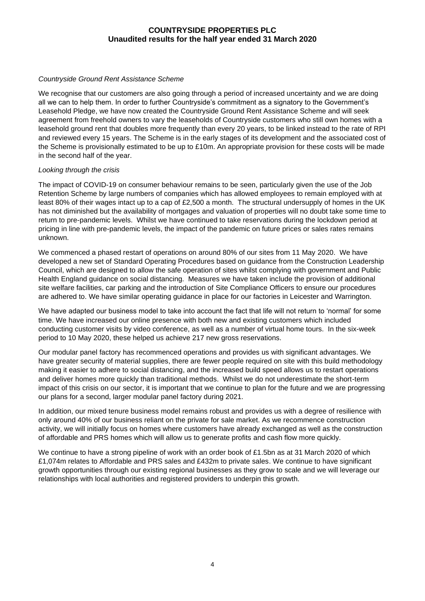## *Countryside Ground Rent Assistance Scheme*

We recognise that our customers are also going through a period of increased uncertainty and we are doing all we can to help them. In order to further Countryside's commitment as a signatory to the Government's Leasehold Pledge, we have now created the Countryside Ground Rent Assistance Scheme and will seek agreement from freehold owners to vary the leaseholds of Countryside customers who still own homes with a leasehold ground rent that doubles more frequently than every 20 years, to be linked instead to the rate of RPI and reviewed every 15 years. The Scheme is in the early stages of its development and the associated cost of the Scheme is provisionally estimated to be up to £10m. An appropriate provision for these costs will be made in the second half of the year.

## *Looking through the crisis*

The impact of COVID-19 on consumer behaviour remains to be seen, particularly given the use of the Job Retention Scheme by large numbers of companies which has allowed employees to remain employed with at least 80% of their wages intact up to a cap of £2,500 a month. The structural undersupply of homes in the UK has not diminished but the availability of mortgages and valuation of properties will no doubt take some time to return to pre-pandemic levels. Whilst we have continued to take reservations during the lockdown period at pricing in line with pre-pandemic levels, the impact of the pandemic on future prices or sales rates remains unknown.

We commenced a phased restart of operations on around 80% of our sites from 11 May 2020. We have developed a new set of Standard Operating Procedures based on guidance from the Construction Leadership Council, which are designed to allow the safe operation of sites whilst complying with government and Public Health England guidance on social distancing. Measures we have taken include the provision of additional site welfare facilities, car parking and the introduction of Site Compliance Officers to ensure our procedures are adhered to. We have similar operating guidance in place for our factories in Leicester and Warrington.

We have adapted our business model to take into account the fact that life will not return to 'normal' for some time. We have increased our online presence with both new and existing customers which included conducting customer visits by video conference, as well as a number of virtual home tours. In the six-week period to 10 May 2020, these helped us achieve 217 new gross reservations.

Our modular panel factory has recommenced operations and provides us with significant advantages. We have greater security of material supplies, there are fewer people required on site with this build methodology making it easier to adhere to social distancing, and the increased build speed allows us to restart operations and deliver homes more quickly than traditional methods. Whilst we do not underestimate the short-term impact of this crisis on our sector, it is important that we continue to plan for the future and we are progressing our plans for a second, larger modular panel factory during 2021.

In addition, our mixed tenure business model remains robust and provides us with a degree of resilience with only around 40% of our business reliant on the private for sale market. As we recommence construction activity, we will initially focus on homes where customers have already exchanged as well as the construction of affordable and PRS homes which will allow us to generate profits and cash flow more quickly.

We continue to have a strong pipeline of work with an order book of £1.5bn as at 31 March 2020 of which £1,074m relates to Affordable and PRS sales and £432m to private sales. We continue to have significant growth opportunities through our existing regional businesses as they grow to scale and we will leverage our relationships with local authorities and registered providers to underpin this growth.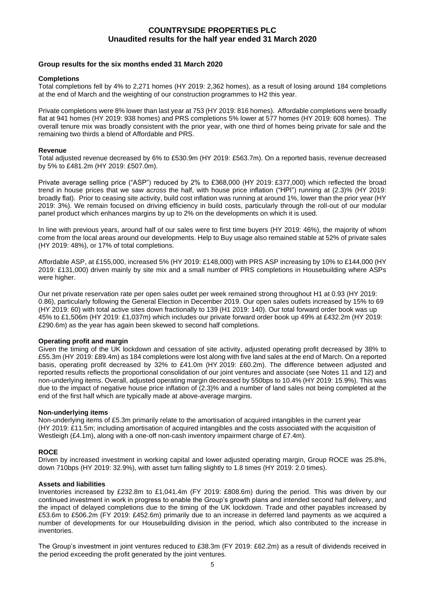## **Group results for the six months ended 31 March 2020**

## **Completions**

Total completions fell by 4% to 2,271 homes (HY 2019: 2,362 homes), as a result of losing around 184 completions at the end of March and the weighting of our construction programmes to H2 this year.

Private completions were 8% lower than last year at 753 (HY 2019: 816 homes). Affordable completions were broadly flat at 941 homes (HY 2019: 938 homes) and PRS completions 5% lower at 577 homes (HY 2019: 608 homes). The overall tenure mix was broadly consistent with the prior year, with one third of homes being private for sale and the remaining two thirds a blend of Affordable and PRS.

### **Revenue**

Total adjusted revenue decreased by 6% to £530.9m (HY 2019: £563.7m). On a reported basis, revenue decreased by 5% to £481.2m (HY 2019: £507.0m).

Private average selling price ("ASP") reduced by 2% to £368,000 (HY 2019: £377,000) which reflected the broad trend in house prices that we saw across the half, with house price inflation ("HPI") running at (2.3)% (HY 2019: broadly flat). Prior to ceasing site activity, build cost inflation was running at around 1%, lower than the prior year (HY 2019: 3%). We remain focused on driving efficiency in build costs, particularly through the roll-out of our modular panel product which enhances margins by up to 2% on the developments on which it is used.

In line with previous years, around half of our sales were to first time buyers (HY 2019: 46%), the majority of whom come from the local areas around our developments. Help to Buy usage also remained stable at 52% of private sales (HY 2019: 48%), or 17% of total completions.

Affordable ASP, at £155,000, increased 5% (HY 2019: £148,000) with PRS ASP increasing by 10% to £144,000 (HY 2019: £131,000) driven mainly by site mix and a small number of PRS completions in Housebuilding where ASPs were higher.

Our net private reservation rate per open sales outlet per week remained strong throughout H1 at 0.93 (HY 2019: 0.86), particularly following the General Election in December 2019. Our open sales outlets increased by 15% to 69 (HY 2019: 60) with total active sites down fractionally to 139 (H1 2019: 140). Our total forward order book was up 45% to £1,506m (HY 2019: £1,037m) which includes our private forward order book up 49% at £432.2m (HY 2019: £290.6m) as the year has again been skewed to second half completions.

## **Operating profit and margin**

Given the timing of the UK lockdown and cessation of site activity, adjusted operating profit decreased by 38% to £55.3m (HY 2019: £89.4m) as 184 completions were lost along with five land sales at the end of March. On a reported basis, operating profit decreased by 32% to £41.0m (HY 2019: £60.2m). The difference between adjusted and reported results reflects the proportional consolidation of our joint ventures and associate (see Notes 11 and 12) and non-underlying items. Overall, adjusted operating margin decreased by 550bps to 10.4% (HY 2019: 15.9%). This was due to the impact of negative house price inflation of (2.3)% and a number of land sales not being completed at the end of the first half which are typically made at above-average margins.

## **Non-underlying items**

Non-underlying items of £5.3m primarily relate to the amortisation of acquired intangibles in the current year (HY 2019: £11.5m; including amortisation of acquired intangibles and the costs associated with the acquisition of Westleigh (£4.1m), along with a one-off non-cash inventory impairment charge of £7.4m).

## **ROCE**

Driven by increased investment in working capital and lower adjusted operating margin, Group ROCE was 25.8%, down 710bps (HY 2019: 32.9%), with asset turn falling slightly to 1.8 times (HY 2019: 2.0 times).

## **Assets and liabilities**

Inventories increased by £232.8m to £1,041.4m (FY 2019: £808.6m) during the period. This was driven by our continued investment in work in progress to enable the Group's growth plans and intended second half delivery, and the impact of delayed completions due to the timing of the UK lockdown. Trade and other payables increased by £53.6m to £506.2m (FY 2019: £452.6m) primarily due to an increase in deferred land payments as we acquired a number of developments for our Housebuilding division in the period, which also contributed to the increase in inventories.

The Group's investment in joint ventures reduced to £38.3m (FY 2019: £62.2m) as a result of dividends received in the period exceeding the profit generated by the joint ventures.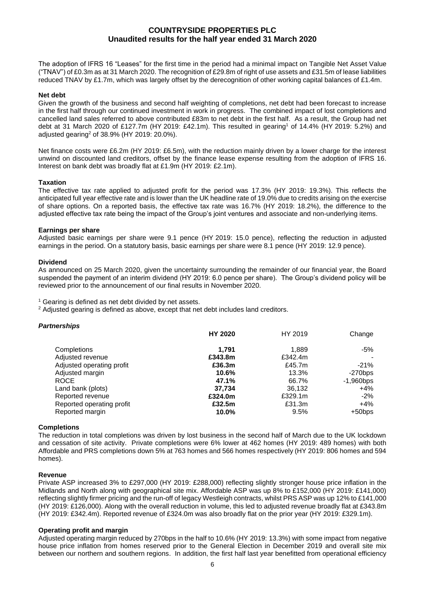The adoption of IFRS 16 "Leases" for the first time in the period had a minimal impact on Tangible Net Asset Value ("TNAV") of £0.3m as at 31 March 2020. The recognition of £29.8m of right of use assets and £31.5m of lease liabilities reduced TNAV by £1.7m, which was largely offset by the derecognition of other working capital balances of £1.4m.

### **Net debt**

Given the growth of the business and second half weighting of completions, net debt had been forecast to increase in the first half through our continued investment in work in progress. The combined impact of lost completions and cancelled land sales referred to above contributed £83m to net debt in the first half. As a result, the Group had net debt at 31 March 2020 of £127.7m (HY 2019: £42.1m). This resulted in gearing<sup>1</sup> of 14.4% (HY 2019: 5.2%) and adjusted gearing<sup>2</sup> of 38.9% (HY 2019: 20.0%).

Net finance costs were £6.2m (HY 2019: £6.5m), with the reduction mainly driven by a lower charge for the interest unwind on discounted land creditors, offset by the finance lease expense resulting from the adoption of IFRS 16. Interest on bank debt was broadly flat at £1.9m (HY 2019: £2.1m).

## **Taxation**

The effective tax rate applied to adjusted profit for the period was 17.3% (HY 2019: 19.3%). This reflects the anticipated full year effective rate and is lower than the UK headline rate of 19.0% due to credits arising on the exercise of share options. On a reported basis, the effective tax rate was 16.7% (HY 2019: 18.2%), the difference to the adjusted effective tax rate being the impact of the Group's joint ventures and associate and non-underlying items.

### **Earnings per share**

Adjusted basic earnings per share were 9.1 pence (HY 2019: 15.0 pence), reflecting the reduction in adjusted earnings in the period. On a statutory basis, basic earnings per share were 8.1 pence (HY 2019: 12.9 pence).

### **Dividend**

As announced on 25 March 2020, given the uncertainty surrounding the remainder of our financial year, the Board suspended the payment of an interim dividend (HY 2019: 6.0 pence per share). The Group's dividend policy will be reviewed prior to the announcement of our final results in November 2020.

<sup>1</sup> Gearing is defined as net debt divided by net assets.

<sup>2</sup> Adjusted gearing is defined as above, except that net debt includes land creditors.

| <b>Partnerships</b>       |                |         |              |
|---------------------------|----------------|---------|--------------|
|                           | <b>HY 2020</b> | HY 2019 | Change       |
| Completions               | 1.791          | 1,889   | -5%          |
| Adjusted revenue          | £343.8m        | £342.4m |              |
| Adjusted operating profit | £36.3m         | £45.7m  | $-21%$       |
| Adjusted margin           | 10.6%          | 13.3%   | $-270$ bps   |
| <b>ROCE</b>               | 47.1%          | 66.7%   | $-1,960$ bps |
| Land bank (plots)         | 37.734         | 36,132  | $+4\%$       |
| Reported revenue          | £324.0m        | £329.1m | $-2\%$       |
| Reported operating profit | £32.5m         | £31.3m  | $+4%$        |
| Reported margin           | 10.0%          | 9.5%    | $+50$ bps    |

## **Completions**

The reduction in total completions was driven by lost business in the second half of March due to the UK lockdown and cessation of site activity. Private completions were 6% lower at 462 homes (HY 2019: 489 homes) with both Affordable and PRS completions down 5% at 763 homes and 566 homes respectively (HY 2019: 806 homes and 594 homes).

### **Revenue**

Private ASP increased 3% to £297,000 (HY 2019: £288,000) reflecting slightly stronger house price inflation in the Midlands and North along with geographical site mix. Affordable ASP was up 8% to £152,000 (HY 2019: £141,000) reflecting slightly firmer pricing and the run-off of legacy Westleigh contracts, whilst PRS ASP was up 12% to £141,000 (HY 2019: £126,000). Along with the overall reduction in volume, this led to adjusted revenue broadly flat at £343.8m (HY 2019: £342.4m). Reported revenue of £324.0m was also broadly flat on the prior year (HY 2019: £329.1m).

## **Operating profit and margin**

Adjusted operating margin reduced by 270bps in the half to 10.6% (HY 2019: 13.3%) with some impact from negative house price inflation from homes reserved prior to the General Election in December 2019 and overall site mix between our northern and southern regions. In addition, the first half last year benefitted from operational efficiency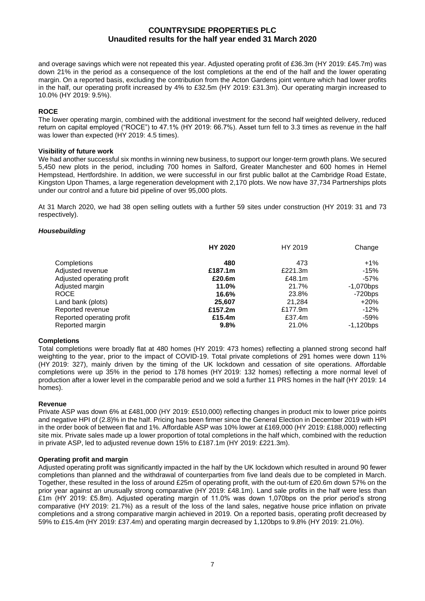and overage savings which were not repeated this year. Adjusted operating profit of £36.3m (HY 2019: £45.7m) was down 21% in the period as a consequence of the lost completions at the end of the half and the lower operating margin. On a reported basis, excluding the contribution from the Acton Gardens joint venture which had lower profits in the half, our operating profit increased by 4% to £32.5m (HY 2019: £31.3m). Our operating margin increased to 10.0% (HY 2019: 9.5%).

## **ROCE**

The lower operating margin, combined with the additional investment for the second half weighted delivery, reduced return on capital employed ("ROCE") to 47.1% (HY 2019: 66.7%). Asset turn fell to 3.3 times as revenue in the half was lower than expected (HY 2019: 4.5 times).

## **Visibility of future work**

We had another successful six months in winning new business, to support our longer-term growth plans. We secured 5,450 new plots in the period, including 700 homes in Salford, Greater Manchester and 600 homes in Hemel Hempstead, Hertfordshire. In addition, we were successful in our first public ballot at the Cambridge Road Estate, Kingston Upon Thames, a large regeneration development with 2,170 plots. We now have 37,734 Partnerships plots under our control and a future bid pipeline of over 95,000 plots.

At 31 March 2020, we had 38 open selling outlets with a further 59 sites under construction (HY 2019: 31 and 73 respectively).

## *Housebuilding*

|                           | <b>HY 2020</b> | HY 2019 | Change       |
|---------------------------|----------------|---------|--------------|
| Completions               | 480            | 473     | $+1\%$       |
| Adjusted revenue          | £187.1m        | £221.3m | -15%         |
| Adjusted operating profit | £20.6m         | £48.1m  | -57%         |
| Adjusted margin           | 11.0%          | 21.7%   | $-1,070$ bps |
| <b>ROCE</b>               | 16.6%          | 23.8%   | $-720$ bps   |
| Land bank (plots)         | 25,607         | 21.284  | $+20%$       |
| Reported revenue          | £157.2m        | £177.9m | $-12%$       |
| Reported operating profit | £15.4m         | £37.4m  | -59%         |
| Reported margin           | 9.8%           | 21.0%   | $-1,120$ bps |

## **Completions**

Total completions were broadly flat at 480 homes (HY 2019: 473 homes) reflecting a planned strong second half weighting to the year, prior to the impact of COVID-19. Total private completions of 291 homes were down 11% (HY 2019: 327), mainly driven by the timing of the UK lockdown and cessation of site operations. Affordable completions were up 35% in the period to 178 homes (HY 2019: 132 homes) reflecting a more normal level of production after a lower level in the comparable period and we sold a further 11 PRS homes in the half (HY 2019: 14 homes).

## **Revenue**

Private ASP was down 6% at £481,000 (HY 2019: £510,000) reflecting changes in product mix to lower price points and negative HPI of (2.8)% in the half. Pricing has been firmer since the General Election in December 2019 with HPI in the order book of between flat and 1%. Affordable ASP was 10% lower at £169,000 (HY 2019: £188,000) reflecting site mix. Private sales made up a lower proportion of total completions in the half which, combined with the reduction in private ASP, led to adjusted revenue down 15% to £187.1m (HY 2019: £221.3m).

## **Operating profit and margin**

Adjusted operating profit was significantly impacted in the half by the UK lockdown which resulted in around 90 fewer completions than planned and the withdrawal of counterparties from five land deals due to be completed in March. Together, these resulted in the loss of around £25m of operating profit, with the out-turn of £20.6m down 57% on the prior year against an unusually strong comparative (HY 2019: £48.1m). Land sale profits in the half were less than £1m (HY 2019: £5.8m). Adjusted operating margin of 11.0% was down 1,070bps on the prior period's strong comparative (HY 2019: 21.7%) as a result of the loss of the land sales, negative house price inflation on private completions and a strong comparative margin achieved in 2019. On a reported basis, operating profit decreased by 59% to £15.4m (HY 2019: £37.4m) and operating margin decreased by 1,120bps to 9.8% (HY 2019: 21.0%).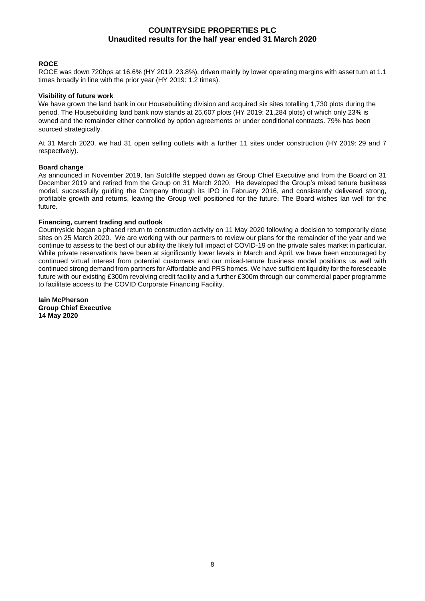# **ROCE**

ROCE was down 720bps at 16.6% (HY 2019: 23.8%), driven mainly by lower operating margins with asset turn at 1.1 times broadly in line with the prior year (HY 2019: 1.2 times).

## **Visibility of future work**

We have grown the land bank in our Housebuilding division and acquired six sites totalling 1,730 plots during the period. The Housebuilding land bank now stands at 25,607 plots (HY 2019: 21,284 plots) of which only 23% is owned and the remainder either controlled by option agreements or under conditional contracts. 79% has been sourced strategically.

At 31 March 2020, we had 31 open selling outlets with a further 11 sites under construction (HY 2019: 29 and 7 respectively).

## **Board change**

As announced in November 2019, Ian Sutcliffe stepped down as Group Chief Executive and from the Board on 31 December 2019 and retired from the Group on 31 March 2020. He developed the Group's mixed tenure business model, successfully guiding the Company through its IPO in February 2016, and consistently delivered strong, profitable growth and returns, leaving the Group well positioned for the future. The Board wishes Ian well for the future.

## **Financing, current trading and outlook**

Countryside began a phased return to construction activity on 11 May 2020 following a decision to temporarily close sites on 25 March 2020. We are working with our partners to review our plans for the remainder of the year and we continue to assess to the best of our ability the likely full impact of COVID-19 on the private sales market in particular. While private reservations have been at significantly lower levels in March and April, we have been encouraged by continued virtual interest from potential customers and our mixed-tenure business model positions us well with continued strong demand from partners for Affordable and PRS homes. We have sufficient liquidity for the foreseeable future with our existing £300m revolving credit facility and a further £300m through our commercial paper programme to facilitate access to the COVID Corporate Financing Facility.

**Iain McPherson Group Chief Executive 14 May 2020**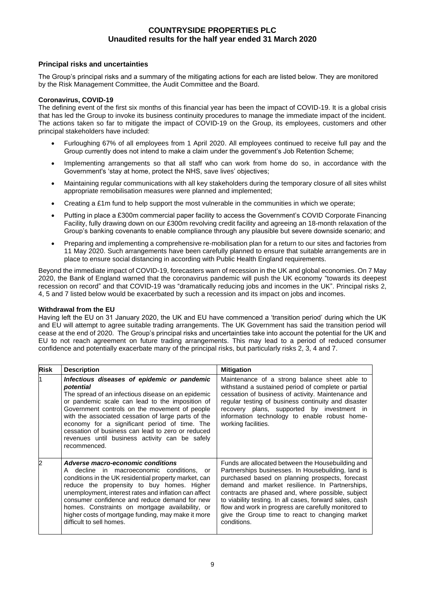## **Principal risks and uncertainties**

The Group's principal risks and a summary of the mitigating actions for each are listed below. They are monitored by the Risk Management Committee, the Audit Committee and the Board.

## **Coronavirus, COVID-19**

The defining event of the first six months of this financial year has been the impact of COVID-19. It is a global crisis that has led the Group to invoke its business continuity procedures to manage the immediate impact of the incident. The actions taken so far to mitigate the impact of COVID-19 on the Group, its employees, customers and other principal stakeholders have included:

- Furloughing 67% of all employees from 1 April 2020. All employees continued to receive full pay and the Group currently does not intend to make a claim under the government's Job Retention Scheme;
- Implementing arrangements so that all staff who can work from home do so, in accordance with the Government's 'stay at home, protect the NHS, save lives' objectives;
- Maintaining regular communications with all key stakeholders during the temporary closure of all sites whilst appropriate remobilisation measures were planned and implemented;
- Creating a £1m fund to help support the most vulnerable in the communities in which we operate;
- Putting in place a £300m commercial paper facility to access the Government's COVID Corporate Financing Facility, fully drawing down on our £300m revolving credit facility and agreeing an 18-month relaxation of the Group's banking covenants to enable compliance through any plausible but severe downside scenario; and
- Preparing and implementing a comprehensive re-mobilisation plan for a return to our sites and factories from 11 May 2020. Such arrangements have been carefully planned to ensure that suitable arrangements are in place to ensure social distancing in according with Public Health England requirements.

Beyond the immediate impact of COVID-19, forecasters warn of recession in the UK and global economies. On 7 May 2020, the Bank of England warned that the coronavirus pandemic will push the UK economy "towards its deepest recession on record" and that COVID-19 was "dramatically reducing jobs and incomes in the UK". Principal risks 2, 4, 5 and 7 listed below would be exacerbated by such a recession and its impact on jobs and incomes.

## **Withdrawal from the EU**

Having left the EU on 31 January 2020, the UK and EU have commenced a 'transition period' during which the UK and EU will attempt to agree suitable trading arrangements. The UK Government has said the transition period will cease at the end of 2020. The Group's principal risks and uncertainties take into account the potential for the UK and EU to not reach agreement on future trading arrangements. This may lead to a period of reduced consumer confidence and potentially exacerbate many of the principal risks, but particularly risks 2, 3, 4 and 7.

| <b>Risk</b> | <b>Description</b>                                                                                                                                                                                                                                                                                                                                                                                                                                | <b>Mitigation</b>                                                                                                                                                                                                                                                                                                                                                                                                                                      |
|-------------|---------------------------------------------------------------------------------------------------------------------------------------------------------------------------------------------------------------------------------------------------------------------------------------------------------------------------------------------------------------------------------------------------------------------------------------------------|--------------------------------------------------------------------------------------------------------------------------------------------------------------------------------------------------------------------------------------------------------------------------------------------------------------------------------------------------------------------------------------------------------------------------------------------------------|
|             | Infectious diseases of epidemic or pandemic<br>potential<br>The spread of an infectious disease on an epidemic<br>or pandemic scale can lead to the imposition of<br>Government controls on the movement of people<br>with the associated cessation of large parts of the<br>economy for a significant period of time. The<br>cessation of business can lead to zero or reduced<br>revenues until business activity can be safely<br>recommenced. | Maintenance of a strong balance sheet able to<br>withstand a sustained period of complete or partial<br>cessation of business of activity. Maintenance and<br>regular testing of business continuity and disaster<br>recovery plans, supported by investment in<br>information technology to enable robust home-<br>working facilities.                                                                                                                |
| 2           | Adverse macro-economic conditions<br>A decline in macroeconomic conditions, or<br>conditions in the UK residential property market, can<br>reduce the propensity to buy homes. Higher<br>unemployment, interest rates and inflation can affect<br>consumer confidence and reduce demand for new<br>homes. Constraints on mortgage availability, or<br>higher costs of mortgage funding, may make it more<br>difficult to sell homes.              | Funds are allocated between the Housebuilding and<br>Partnerships businesses. In Housebuilding, land is<br>purchased based on planning prospects, forecast<br>demand and market resilience. In Partnerships,<br>contracts are phased and, where possible, subject<br>to viability testing. In all cases, forward sales, cash<br>flow and work in progress are carefully monitored to<br>give the Group time to react to changing market<br>conditions. |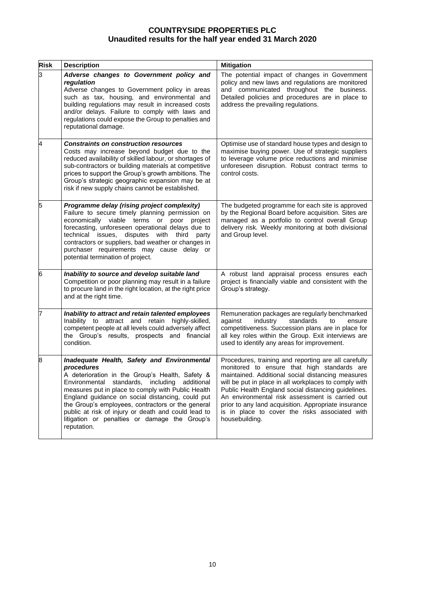| <b>Risk</b> | <b>Description</b>                                                                                                                                                                                                                                                                                                                                                                                                                                  | <b>Mitigation</b>                                                                                                                                                                                                                                                                                                                                                                                                                                       |
|-------------|-----------------------------------------------------------------------------------------------------------------------------------------------------------------------------------------------------------------------------------------------------------------------------------------------------------------------------------------------------------------------------------------------------------------------------------------------------|---------------------------------------------------------------------------------------------------------------------------------------------------------------------------------------------------------------------------------------------------------------------------------------------------------------------------------------------------------------------------------------------------------------------------------------------------------|
| 3           | Adverse changes to Government policy and<br>regulation<br>Adverse changes to Government policy in areas<br>such as tax, housing, and environmental and<br>building regulations may result in increased costs<br>and/or delays. Failure to comply with laws and<br>regulations could expose the Group to penalties and<br>reputational damage.                                                                                                       | The potential impact of changes in Government<br>policy and new laws and regulations are monitored<br>and communicated throughout the business.<br>Detailed policies and procedures are in place to<br>address the prevailing regulations.                                                                                                                                                                                                              |
| 4           | <b>Constraints on construction resources</b><br>Costs may increase beyond budget due to the<br>reduced availability of skilled labour, or shortages of<br>sub-contractors or building materials at competitive<br>prices to support the Group's growth ambitions. The<br>Group's strategic geographic expansion may be at<br>risk if new supply chains cannot be established.                                                                       | Optimise use of standard house types and design to<br>maximise buying power. Use of strategic suppliers<br>to leverage volume price reductions and minimise<br>unforeseen disruption. Robust contract terms to<br>control costs.                                                                                                                                                                                                                        |
| 5           | Programme delay (rising project complexity)<br>Failure to secure timely planning permission on<br>economically viable terms or poor<br>project<br>forecasting, unforeseen operational delays due to<br>technical issues,<br>disputes with third party<br>contractors or suppliers, bad weather or changes in<br>purchaser requirements may cause delay or<br>potential termination of project.                                                      | The budgeted programme for each site is approved<br>by the Regional Board before acquisition. Sites are<br>managed as a portfolio to control overall Group<br>delivery risk. Weekly monitoring at both divisional<br>and Group level.                                                                                                                                                                                                                   |
| 6           | Inability to source and develop suitable land<br>Competition or poor planning may result in a failure<br>to procure land in the right location, at the right price<br>and at the right time.                                                                                                                                                                                                                                                        | A robust land appraisal process ensures each<br>project is financially viable and consistent with the<br>Group's strategy.                                                                                                                                                                                                                                                                                                                              |
| 7           | Inability to attract and retain talented employees<br>Inability to attract and retain highly-skilled,<br>competent people at all levels could adversely affect<br>the Group's results, prospects and financial<br>condition.                                                                                                                                                                                                                        | Remuneration packages are regularly benchmarked<br>against<br>industry<br>standards<br>to<br>ensure<br>competitiveness. Succession plans are in place for<br>all key roles within the Group. Exit interviews are<br>used to identify any areas for improvement.                                                                                                                                                                                         |
| 8           | Inadequate Health, Safety and Environmental<br>procedures<br>A deterioration in the Group's Health, Safety &<br>Environmental standards, including additional<br>measures put in place to comply with Public Health<br>England guidance on social distancing, could put<br>the Group's employees, contractors or the general<br>public at risk of injury or death and could lead to<br>litigation or penalties or damage the Group's<br>reputation. | Procedures, training and reporting are all carefully<br>monitored to ensure that high standards are<br>maintained. Additional social distancing measures<br>will be put in place in all workplaces to comply with<br>Public Health England social distancing guidelines.<br>An environmental risk assessment is carried out<br>prior to any land acquisition. Appropriate insurance<br>is in place to cover the risks associated with<br>housebuilding. |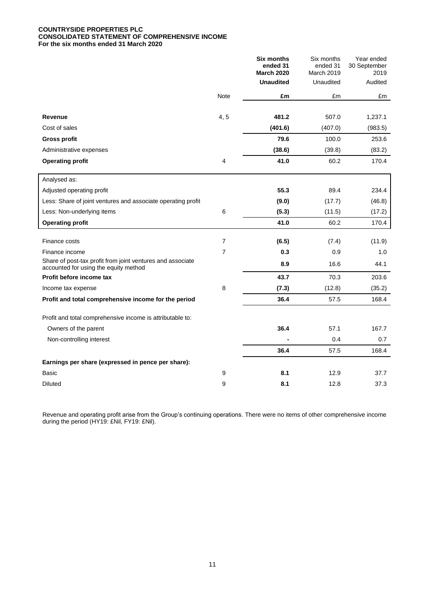## **COUNTRYSIDE PROPERTIES PLC CONSOLIDATED STATEMENT OF COMPREHENSIVE INCOME For the six months ended 31 March 2020**

|                                                                                                     |                | <b>Six months</b><br>ended 31<br><b>March 2020</b> | Six months<br>ended 31<br><b>March 2019</b> | Year ended<br>30 September<br>2019 |
|-----------------------------------------------------------------------------------------------------|----------------|----------------------------------------------------|---------------------------------------------|------------------------------------|
|                                                                                                     |                | <b>Unaudited</b>                                   | Unaudited                                   | Audited                            |
|                                                                                                     | Note           | £m                                                 | £m                                          | £m                                 |
| Revenue                                                                                             | 4, 5           | 481.2                                              | 507.0                                       | 1,237.1                            |
|                                                                                                     |                |                                                    |                                             |                                    |
| Cost of sales                                                                                       |                | (401.6)                                            | (407.0)                                     | (983.5)                            |
| <b>Gross profit</b>                                                                                 |                | 79.6                                               | 100.0                                       | 253.6                              |
| Administrative expenses                                                                             |                | (38.6)                                             | (39.8)                                      | (83.2)                             |
| <b>Operating profit</b>                                                                             | $\overline{4}$ | 41.0                                               | 60.2                                        | 170.4                              |
| Analysed as:                                                                                        |                |                                                    |                                             |                                    |
| Adjusted operating profit                                                                           |                | 55.3                                               | 89.4                                        | 234.4                              |
| Less: Share of joint ventures and associate operating profit                                        |                | (9.0)                                              | (17.7)                                      | (46.8)                             |
| Less: Non-underlying items                                                                          | 6              | (5.3)                                              | (11.5)                                      | (17.2)                             |
| <b>Operating profit</b>                                                                             |                | 41.0                                               | 60.2                                        | 170.4                              |
| Finance costs                                                                                       | $\overline{7}$ | (6.5)                                              | (7.4)                                       | (11.9)                             |
| Finance income                                                                                      | $\overline{7}$ | 0.3                                                | 0.9                                         | 1.0                                |
| Share of post-tax profit from joint ventures and associate<br>accounted for using the equity method |                | 8.9                                                | 16.6                                        | 44.1                               |
| Profit before income tax                                                                            |                | 43.7                                               | 70.3                                        | 203.6                              |
| Income tax expense                                                                                  | 8              | (7.3)                                              | (12.8)                                      | (35.2)                             |
| Profit and total comprehensive income for the period                                                |                | 36.4                                               | 57.5                                        | 168.4                              |
| Profit and total comprehensive income is attributable to:                                           |                |                                                    |                                             |                                    |
| Owners of the parent                                                                                |                | 36.4                                               | 57.1                                        | 167.7                              |
| Non-controlling interest                                                                            |                |                                                    | 0.4                                         | 0.7                                |
|                                                                                                     |                | 36.4                                               | 57.5                                        | 168.4                              |
| Earnings per share (expressed in pence per share):                                                  |                |                                                    |                                             |                                    |
| <b>Basic</b>                                                                                        | 9              | 8.1                                                | 12.9                                        | 37.7                               |
| <b>Diluted</b>                                                                                      | 9              | 8.1                                                | 12.8                                        | 37.3                               |

Revenue and operating profit arise from the Group's continuing operations. There were no items of other comprehensive income during the period (HY19: £Nil, FY19: £Nil).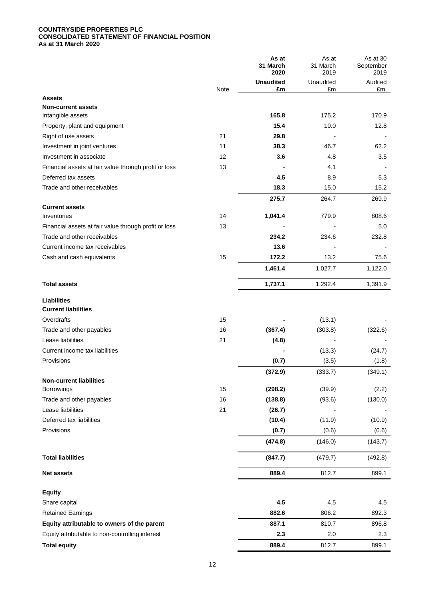## **COUNTRYSIDE PROPERTIES PLC CONSOLIDATED STATEMENT OF FINANCIAL POSITION As at 31 March 2020**

|                                                       |      | As at<br>31 March<br>2020 | As at<br>31 March<br>2019 | As at 30<br>September<br>2019 |
|-------------------------------------------------------|------|---------------------------|---------------------------|-------------------------------|
|                                                       | Note | <b>Unaudited</b><br>£m    | Unaudited<br>£m           | Audited<br>£m                 |
| <b>Assets</b>                                         |      |                           |                           |                               |
| <b>Non-current assets</b>                             |      |                           |                           |                               |
| Intangible assets                                     |      | 165.8                     | 175.2                     | 170.9                         |
| Property, plant and equipment                         |      | 15.4                      | 10.0                      | 12.8                          |
| Right of use assets                                   | 21   | 29.8                      |                           |                               |
| Investment in joint ventures                          | 11   | 38.3                      | 46.7                      | 62.2                          |
| Investment in associate                               | 12   | 3.6                       | 4.8                       | 3.5                           |
| Financial assets at fair value through profit or loss | 13   |                           | 4.1                       |                               |
| Deferred tax assets                                   |      | 4.5                       | 8.9                       | 5.3                           |
| Trade and other receivables                           |      | 18.3                      | 15.0                      | 15.2                          |
|                                                       |      | 275.7                     | 264.7                     | 269.9                         |
| <b>Current assets</b><br>Inventories                  | 14   | 1,041.4                   | 779.9                     | 808.6                         |
|                                                       |      |                           |                           |                               |
| Financial assets at fair value through profit or loss | 13   |                           |                           | 5.0                           |
| Trade and other receivables                           |      | 234.2                     | 234.6                     | 232.8                         |
| Current income tax receivables                        |      | 13.6                      |                           |                               |
| Cash and cash equivalents                             | 15   | 172.2                     | 13.2                      | 75.6                          |
|                                                       |      | 1,461.4                   | 1,027.7                   | 1,122.0                       |
| <b>Total assets</b>                                   |      | 1,737.1                   | 1,292.4                   | 1,391.9                       |
| <b>Liabilities</b>                                    |      |                           |                           |                               |
| <b>Current liabilities</b>                            |      |                           |                           |                               |
| Overdrafts                                            | 15   |                           | (13.1)                    |                               |
| Trade and other payables                              | 16   | (367.4)                   | (303.8)                   | (322.6)                       |
| Lease liabilities                                     | 21   | (4.8)                     |                           |                               |
| Current income tax liabilities                        |      |                           | (13.3)                    | (24.7)                        |
| Provisions                                            |      | (0.7)                     | (3.5)                     | (1.8)                         |
|                                                       |      | (372.9)                   | (333.7)                   | (349.1)                       |
| <b>Non-current liabilities</b>                        |      |                           |                           |                               |
| <b>Borrowings</b>                                     | 15   | (298.2)                   | (39.9)                    | (2.2)                         |
| Trade and other payables                              | 16   | (138.8)                   | (93.6)                    | (130.0)                       |
| Lease liabilities                                     | 21   | (26.7)                    |                           |                               |
| Deferred tax liabilities                              |      | (10.4)                    | (11.9)                    | (10.9)                        |
| Provisions                                            |      | (0.7)                     | (0.6)                     | (0.6)                         |
|                                                       |      | (474.8)                   | (146.0)                   | (143.7)                       |
| <b>Total liabilities</b>                              |      | (847.7)                   | (479.7)                   | (492.8)                       |
| <b>Net assets</b>                                     |      | 889.4                     | 812.7                     | 899.1                         |
| <b>Equity</b>                                         |      |                           |                           |                               |
| Share capital                                         |      | 4.5                       | 4.5                       | 4.5                           |
| <b>Retained Earnings</b>                              |      | 882.6                     | 806.2                     | 892.3                         |
| Equity attributable to owners of the parent           |      | 887.1                     | 810.7                     | 896.8                         |
| Equity attributable to non-controlling interest       |      | 2.3                       | 2.0                       | 2.3                           |
| <b>Total equity</b>                                   |      | 889.4                     | 812.7                     | 899.1                         |
|                                                       |      |                           |                           |                               |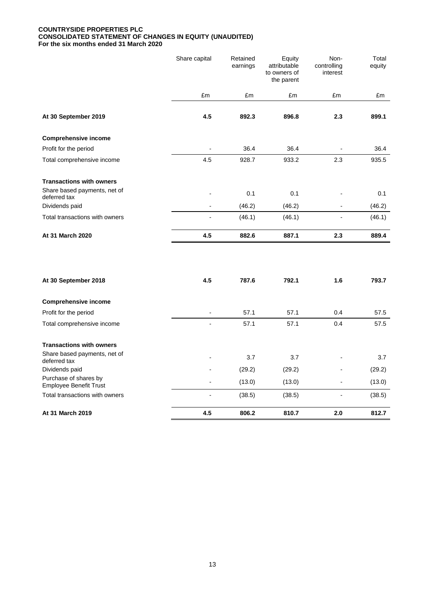## **COUNTRYSIDE PROPERTIES PLC CONSOLIDATED STATEMENT OF CHANGES IN EQUITY (UNAUDITED) For the six months ended 31 March 2020**

|                                                                 | Share capital            | Retained<br>earnings | Equity<br>attributable<br>to owners of<br>the parent | Non-<br>controlling<br>interest | Total<br>equity |
|-----------------------------------------------------------------|--------------------------|----------------------|------------------------------------------------------|---------------------------------|-----------------|
|                                                                 | £m                       | £m                   | £m                                                   | £m                              | £m              |
| At 30 September 2019                                            | 4.5                      | 892.3                | 896.8                                                | 2.3                             | 899.1           |
| <b>Comprehensive income</b>                                     |                          |                      |                                                      |                                 |                 |
| Profit for the period                                           |                          | 36.4                 | 36.4                                                 |                                 | 36.4            |
| Total comprehensive income                                      | 4.5                      | 928.7                | 933.2                                                | 2.3                             | 935.5           |
| <b>Transactions with owners</b><br>Share based payments, net of |                          | 0.1                  | 0.1                                                  |                                 | 0.1             |
| deferred tax                                                    |                          |                      |                                                      |                                 |                 |
| Dividends paid                                                  |                          | (46.2)               | (46.2)                                               |                                 | (46.2)          |
| Total transactions with owners                                  | $\overline{\phantom{0}}$ | (46.1)               | (46.1)                                               | $\blacksquare$                  | (46.1)          |
| At 31 March 2020                                                | 4.5                      | 882.6                | 887.1                                                | 2.3                             | 889.4           |
| At 30 September 2018                                            | 4.5                      | 787.6                | 792.1                                                | 1.6                             | 793.7           |
|                                                                 |                          |                      |                                                      |                                 |                 |
| <b>Comprehensive income</b>                                     |                          |                      |                                                      |                                 |                 |
| Profit for the period                                           | $\overline{a}$           | 57.1                 | 57.1                                                 | 0.4                             | 57.5            |
| Total comprehensive income                                      | $\overline{a}$           | 57.1                 | 57.1                                                 | 0.4                             | 57.5            |
| <b>Transactions with owners</b>                                 |                          |                      |                                                      |                                 |                 |
| Share based payments, net of<br>deferred tax                    |                          | 3.7                  | 3.7                                                  |                                 | 3.7             |
| Dividends paid                                                  |                          | (29.2)               | (29.2)                                               |                                 | (29.2)          |
| Purchase of shares by<br><b>Employee Benefit Trust</b>          |                          | (13.0)               | (13.0)                                               |                                 | (13.0)          |

| At 31 March 2019               | 4.5                      | 806.2  | 810.7  | 2.0                      | 812.7  |
|--------------------------------|--------------------------|--------|--------|--------------------------|--------|
| Total transactions with owners | $\overline{\phantom{a}}$ | (38.5) | (38.5) | $\overline{\phantom{0}}$ | (38.5) |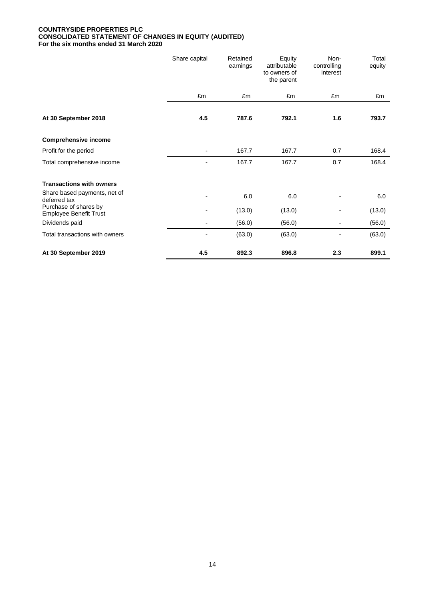### **COUNTRYSIDE PROPERTIES PLC CONSOLIDATED STATEMENT OF CHANGES IN EQUITY (AUDITED) For the six months ended 31 March 2020**

|                                                        | Share capital            | Retained<br>earnings | Equity<br>attributable<br>to owners of<br>the parent | Non-<br>controlling<br>interest | Total<br>equity |
|--------------------------------------------------------|--------------------------|----------------------|------------------------------------------------------|---------------------------------|-----------------|
|                                                        | £m                       | £m                   | £m                                                   | £m                              | £m              |
| At 30 September 2018                                   | 4.5                      | 787.6                | 792.1                                                | 1.6                             | 793.7           |
| <b>Comprehensive income</b>                            |                          |                      |                                                      |                                 |                 |
| Profit for the period                                  | $\overline{\phantom{a}}$ | 167.7                | 167.7                                                | 0.7                             | 168.4           |
| Total comprehensive income                             |                          | 167.7                | 167.7                                                | 0.7                             | 168.4           |
| <b>Transactions with owners</b>                        |                          |                      |                                                      |                                 |                 |
| Share based payments, net of<br>deferred tax           |                          | 6.0                  | 6.0                                                  |                                 | 6.0             |
| Purchase of shares by<br><b>Employee Benefit Trust</b> |                          | (13.0)               | (13.0)                                               | $\overline{\phantom{a}}$        | (13.0)          |
| Dividends paid                                         | $\blacksquare$           | (56.0)               | (56.0)                                               |                                 | (56.0)          |
| Total transactions with owners                         |                          | (63.0)               | (63.0)                                               |                                 | (63.0)          |
| At 30 September 2019                                   | 4.5                      | 892.3                | 896.8                                                | 2.3                             | 899.1           |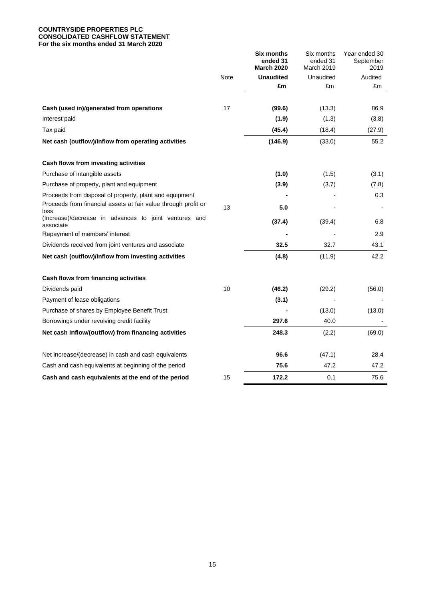### **COUNTRYSIDE PROPERTIES PLC CONSOLIDATED CASHFLOW STATEMENT For the six months ended 31 March 2020**

|                                                                        | <b>Note</b> | <b>Six months</b><br>ended 31<br><b>March 2020</b><br><b>Unaudited</b><br>£m | Six months<br>ended 31<br>March 2019<br>Unaudited<br>£m | Year ended 30<br>September<br>2019<br>Audited<br>£m |
|------------------------------------------------------------------------|-------------|------------------------------------------------------------------------------|---------------------------------------------------------|-----------------------------------------------------|
|                                                                        |             |                                                                              |                                                         |                                                     |
| Cash (used in)/generated from operations                               | 17          | (99.6)                                                                       | (13.3)                                                  | 86.9                                                |
| Interest paid                                                          |             | (1.9)                                                                        | (1.3)                                                   | (3.8)                                               |
| Tax paid                                                               |             | (45.4)                                                                       | (18.4)                                                  | (27.9)                                              |
| Net cash (outflow)/inflow from operating activities                    |             | (146.9)                                                                      | (33.0)                                                  | 55.2                                                |
| Cash flows from investing activities                                   |             |                                                                              |                                                         |                                                     |
| Purchase of intangible assets                                          |             | (1.0)                                                                        | (1.5)                                                   | (3.1)                                               |
| Purchase of property, plant and equipment                              |             | (3.9)                                                                        | (3.7)                                                   | (7.8)                                               |
| Proceeds from disposal of property, plant and equipment                |             |                                                                              |                                                         | 0.3                                                 |
| Proceeds from financial assets at fair value through profit or<br>loss | 13          | 5.0                                                                          |                                                         |                                                     |
| (Increase)/decrease in advances to joint ventures and<br>associate     |             | (37.4)                                                                       | (39.4)                                                  | 6.8                                                 |
| Repayment of members' interest                                         |             |                                                                              |                                                         | 2.9                                                 |
| Dividends received from joint ventures and associate                   |             | 32.5                                                                         | 32.7                                                    | 43.1                                                |
| Net cash (outflow)/inflow from investing activities                    |             | (4.8)                                                                        | (11.9)                                                  | 42.2                                                |
| Cash flows from financing activities                                   |             |                                                                              |                                                         |                                                     |
| Dividends paid                                                         | 10          | (46.2)                                                                       | (29.2)                                                  | (56.0)                                              |
| Payment of lease obligations                                           |             | (3.1)                                                                        |                                                         |                                                     |
| Purchase of shares by Employee Benefit Trust                           |             |                                                                              | (13.0)                                                  | (13.0)                                              |
| Borrowings under revolving credit facility                             |             | 297.6                                                                        | 40.0                                                    |                                                     |
| Net cash inflow/(outflow) from financing activities                    |             | 248.3                                                                        | (2.2)                                                   | (69.0)                                              |
| Net increase/(decrease) in cash and cash equivalents                   |             | 96.6                                                                         | (47.1)                                                  | 28.4                                                |
| Cash and cash equivalents at beginning of the period                   |             | 75.6                                                                         | 47.2                                                    | 47.2                                                |
| Cash and cash equivalents at the end of the period                     | 15          | 172.2                                                                        | 0.1                                                     | 75.6                                                |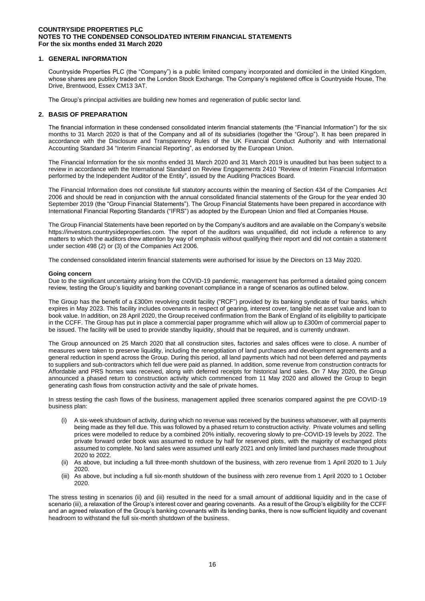### **1. GENERAL INFORMATION**

Countryside Properties PLC (the "Company") is a public limited company incorporated and domiciled in the United Kingdom, whose shares are publicly traded on the London Stock Exchange. The Company's registered office is Countryside House, The Drive, Brentwood, Essex CM13 3AT.

The Group's principal activities are building new homes and regeneration of public sector land.

### **2. BASIS OF PREPARATION**

The financial information in these condensed consolidated interim financial statements (the "Financial Information") for the six months to 31 March 2020 is that of the Company and all of its subsidiaries (together the "Group"). It has been prepared in accordance with the Disclosure and Transparency Rules of the UK Financial Conduct Authority and with International Accounting Standard 34 "Interim Financial Reporting", as endorsed by the European Union.

The Financial Information for the six months ended 31 March 2020 and 31 March 2019 is unaudited but has been subject to a review in accordance with the International Standard on Review Engagements 2410 "Review of Interim Financial Information performed by the Independent Auditor of the Entity", issued by the Auditing Practices Board.

The Financial Information does not constitute full statutory accounts within the meaning of Section 434 of the Companies Act 2006 and should be read in conjunction with the annual consolidated financial statements of the Group for the year ended 30 September 2019 (the "Group Financial Statements"). The Group Financial Statements have been prepared in accordance with International Financial Reporting Standards ("IFRS") as adopted by the European Union and filed at Companies House.

The Group Financial Statements have been reported on by the Company's auditors and are available on the Company's website https://investors.countrysideproperties.com. The report of the auditors was unqualified, did not include a reference to any matters to which the auditors drew attention by way of emphasis without qualifying their report and did not contain a statement under section 498 (2) or (3) of the Companies Act 2006.

The condensed consolidated interim financial statements were authorised for issue by the Directors on 13 May 2020.

#### **Going concern**

Due to the significant uncertainty arising from the COVID-19 pandemic, management has performed a detailed going concern review, testing the Group's liquidity and banking covenant compliance in a range of scenarios as outlined below.

The Group has the benefit of a £300m revolving credit facility ("RCF") provided by its banking syndicate of four banks, which expires in May 2023. This facility includes covenants in respect of gearing, interest cover, tangible net asset value and loan to book value. In addition, on 28 April 2020, the Group received confirmation from the Bank of England of its eligibility to participate in the CCFF. The Group has put in place a commercial paper programme which will allow up to £300m of commercial paper to be issued. The facility will be used to provide standby liquidity, should that be required, and is currently undrawn.

The Group announced on 25 March 2020 that all construction sites, factories and sales offices were to close. A number of measures were taken to preserve liquidity, including the renegotiation of land purchases and development agreements and a general reduction in spend across the Group. During this period, all land payments which had not been deferred and payments to suppliers and sub-contractors which fell due were paid as planned. In addition, some revenue from construction contracts for Affordable and PRS homes was received, along with deferred receipts for historical land sales. On 7 May 2020, the Group announced a phased return to construction activity which commenced from 11 May 2020 and allowed the Group to begin generating cash flows from construction activity and the sale of private homes.

In stress testing the cash flows of the business, management applied three scenarios compared against the pre COVID-19 business plan:

- (i) A six-week shutdown of activity, during which no revenue was received by the business whatsoever, with all payments being made as they fell due. This was followed by a phased return to construction activity. Private volumes and selling prices were modelled to reduce by a combined 20% initially, recovering slowly to pre-COVID-19 levels by 2022. The private forward order book was assumed to reduce by half for reserved plots, with the majority of exchanged plots assumed to complete. No land sales were assumed until early 2021 and only limited land purchases made throughout 2020 to 2022.
- (ii) As above, but including a full three-month shutdown of the business, with zero revenue from 1 April 2020 to 1 July 2020.
- (iii) As above, but including a full six-month shutdown of the business with zero revenue from 1 April 2020 to 1 October 2020.

The stress testing in scenarios (ii) and (iii) resulted in the need for a small amount of additional liquidity and in the case of scenario (iii), a relaxation of the Group's interest cover and gearing covenants. As a result of the Group's eligibility for the CCFF and an agreed relaxation of the Group's banking covenants with its lending banks, there is now sufficient liquidity and covenant headroom to withstand the full six-month shutdown of the business.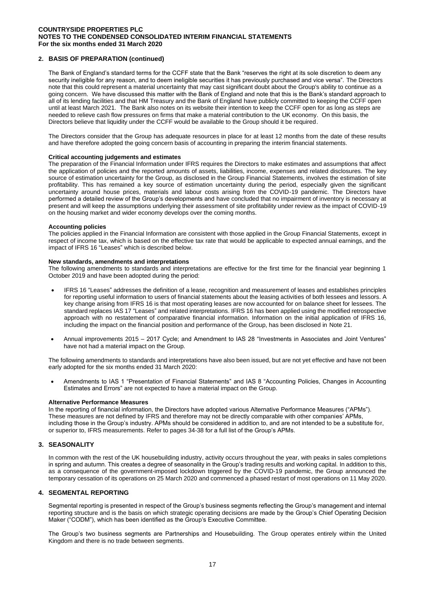### **2. BASIS OF PREPARATION (continued)**

The Bank of England's standard terms for the CCFF state that the Bank "reserves the right at its sole discretion to deem any security ineligible for any reason, and to deem ineligible securities it has previously purchased and vice versa". The Directors note that this could represent a material uncertainty that may cast significant doubt about the Group's ability to continue as a going concern. We have discussed this matter with the Bank of England and note that this is the Bank's standard approach to all of its lending facilities and that HM Treasury and the Bank of England have publicly committed to keeping the CCFF open until at least March 2021. The Bank also notes on its website their intention to keep the CCFF open for as long as steps are needed to relieve cash flow pressures on firms that make a material contribution to the UK economy. On this basis, the Directors believe that liquidity under the CCFF would be available to the Group should it be required.

The Directors consider that the Group has adequate resources in place for at least 12 months from the date of these results and have therefore adopted the going concern basis of accounting in preparing the interim financial statements.

### **Critical accounting judgements and estimates**

The preparation of the Financial Information under IFRS requires the Directors to make estimates and assumptions that affect the application of policies and the reported amounts of assets, liabilities, income, expenses and related disclosures. The key source of estimation uncertainty for the Group, as disclosed in the Group Financial Statements, involves the estimation of site profitability. This has remained a key source of estimation uncertainty during the period, especially given the significant uncertainty around house prices, materials and labour costs arising from the COVID-19 pandemic. The Directors have performed a detailed review of the Group's developments and have concluded that no impairment of inventory is necessary at present and will keep the assumptions underlying their assessment of site profitability under review as the impact of COVID-19 on the housing market and wider economy develops over the coming months.

#### **Accounting policies**

The policies applied in the Financial Information are consistent with those applied in the Group Financial Statements, except in respect of income tax, which is based on the effective tax rate that would be applicable to expected annual earnings, and the impact of IFRS 16 "Leases" which is described below.

### **New standards, amendments and interpretations**

The following amendments to standards and interpretations are effective for the first time for the financial year beginning 1 October 2019 and have been adopted during the period:

- IFRS 16 "Leases" addresses the definition of a lease, recognition and measurement of leases and establishes principles for reporting useful information to users of financial statements about the leasing activities of both lessees and lessors. A key change arising from IFRS 16 is that most operating leases are now accounted for on balance sheet for lessees. The standard replaces IAS 17 "Leases" and related interpretations. IFRS 16 has been applied using the modified retrospective approach with no restatement of comparative financial information. Information on the initial application of IFRS 16, including the impact on the financial position and performance of the Group, has been disclosed in Note 21.
- Annual improvements 2015 2017 Cycle; and Amendment to IAS 28 "Investments in Associates and Joint Ventures" have not had a material impact on the Group.

The following amendments to standards and interpretations have also been issued, but are not yet effective and have not been early adopted for the six months ended 31 March 2020:

• Amendments to IAS 1 "Presentation of Financial Statements" and IAS 8 "Accounting Policies, Changes in Accounting Estimates and Errors" are not expected to have a material impact on the Group.

#### **Alternative Performance Measures**

In the reporting of financial information, the Directors have adopted various Alternative Performance Measures ("APMs"). These measures are not defined by IFRS and therefore may not be directly comparable with other companies' APMs, including those in the Group's industry. APMs should be considered in addition to, and are not intended to be a substitute for, or superior to, IFRS measurements. Refer to pages 34-38 for a full list of the Group's APMs.

### **3. SEASONALITY**

In common with the rest of the UK housebuilding industry, activity occurs throughout the year, with peaks in sales completions in spring and autumn. This creates a degree of seasonality in the Group's trading results and working capital. In addition to this, as a consequence of the government-imposed lockdown triggered by the COVID-19 pandemic, the Group announced the temporary cessation of its operations on 25 March 2020 and commenced a phased restart of most operations on 11 May 2020.

### **4. SEGMENTAL REPORTING**

Segmental reporting is presented in respect of the Group's business segments reflecting the Group's management and internal reporting structure and is the basis on which strategic operating decisions are made by the Group's Chief Operating Decision Maker ("CODM"), which has been identified as the Group's Executive Committee.

The Group's two business segments are Partnerships and Housebuilding. The Group operates entirely within the United Kingdom and there is no trade between segments.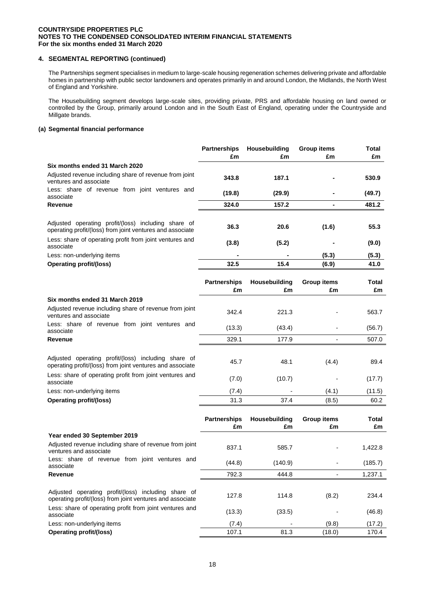## **4. SEGMENTAL REPORTING (continued)**

The Partnerships segment specialises in medium to large-scale housing regeneration schemes delivering private and affordable homes in partnership with public sector landowners and operates primarily in and around London, the Midlands, the North West of England and Yorkshire.

The Housebuilding segment develops large-scale sites, providing private, PRS and affordable housing on land owned or controlled by the Group, primarily around London and in the South East of England, operating under the Countryside and Millgate brands.

## **(a) Segmental financial performance**

|                                                                                                                  | <b>Partnerships</b><br>£m | Housebuilding<br>£m        | <b>Group items</b><br>£m | Total<br>£m |
|------------------------------------------------------------------------------------------------------------------|---------------------------|----------------------------|--------------------------|-------------|
| Six months ended 31 March 2020                                                                                   |                           |                            |                          |             |
| Adjusted revenue including share of revenue from joint<br>ventures and associate                                 | 343.8                     | 187.1                      |                          | 530.9       |
| Less: share of revenue from joint ventures and<br>associate                                                      | (19.8)                    | (29.9)                     |                          | (49.7)      |
| Revenue                                                                                                          | 324.0                     | 157.2                      |                          | 481.2       |
| Adjusted operating profit/(loss) including share of<br>operating profit/(loss) from joint ventures and associate | 36.3                      | 20.6                       | (1.6)                    | 55.3        |
| Less: share of operating profit from joint ventures and<br>associate                                             | (3.8)                     | (5.2)                      |                          | (9.0)       |
| Less: non-underlying items                                                                                       |                           |                            | (5.3)                    | (5.3)       |
| <b>Operating profit/(loss)</b>                                                                                   | 32.5                      | 15.4                       | (6.9)                    | 41.0        |
|                                                                                                                  | <b>Partnerships</b><br>£m | <b>Housebuilding</b><br>£m | <b>Group items</b><br>£m | Total<br>£m |
| Six months ended 31 March 2019                                                                                   |                           |                            |                          |             |

| Adjusted revenue including share of revenue from joint<br>ventures and associate                                 | 342.4  | 221.3  |       | 563.7  |
|------------------------------------------------------------------------------------------------------------------|--------|--------|-------|--------|
| Less: share of revenue from joint ventures and<br>associate                                                      | (13.3) | (43.4) |       | (56.7) |
| Revenue                                                                                                          | 329.1  | 177.9  |       | 507.0  |
|                                                                                                                  |        |        |       |        |
| Adjusted operating profit/(loss) including share of<br>operating profit/(loss) from joint ventures and associate | 45.7   | 48.1   | (4.4) | 89.4   |
| Less: share of operating profit from joint ventures and<br>associate                                             | (7.0)  | (10.7) |       | (17.7) |
| Less: non-underlying items                                                                                       | (7.4)  |        | (4.1) | (11.5) |
| Operating profit/(loss)                                                                                          | 31.3   | 37.4   | (8.5) | 60.2   |

|                                                                                                                  | <b>Partnerships</b><br>£m | Housebuilding<br>£m | Group items<br>£m | Total<br>£m |
|------------------------------------------------------------------------------------------------------------------|---------------------------|---------------------|-------------------|-------------|
| Year ended 30 September 2019                                                                                     |                           |                     |                   |             |
| Adjusted revenue including share of revenue from joint<br>ventures and associate                                 | 837.1                     | 585.7               |                   | 1,422.8     |
| Less: share of revenue from joint ventures and<br>associate                                                      | (44.8)                    | (140.9)             |                   | (185.7)     |
| Revenue                                                                                                          | 792.3                     | 444.8               |                   | 1,237.1     |
|                                                                                                                  |                           |                     |                   |             |
| Adjusted operating profit/(loss) including share of<br>operating profit/(loss) from joint ventures and associate | 127.8                     | 114.8               | (8.2)             | 234.4       |
| Less: share of operating profit from joint ventures and<br>associate                                             | (13.3)                    | (33.5)              |                   | (46.8)      |
| Less: non-underlying items                                                                                       | (7.4)                     |                     | (9.8)             | (17.2)      |
| <b>Operating profit/(loss)</b>                                                                                   | 107.1                     | 81.3                | (18.0)            | 170.4       |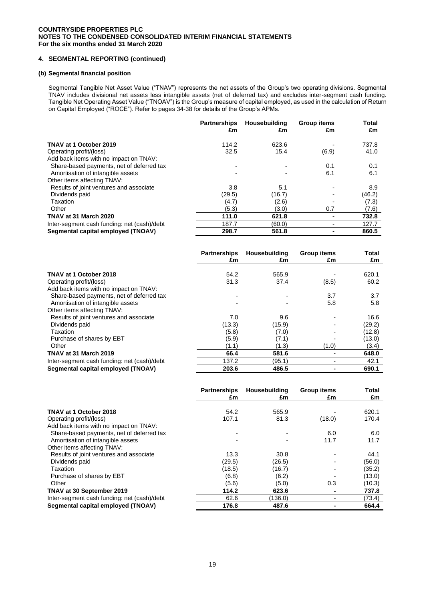## **4. SEGMENTAL REPORTING (continued)**

### **(b) Segmental financial position**

Segmental Tangible Net Asset Value ("TNAV") represents the net assets of the Group's two operating divisions. Segmental TNAV includes divisional net assets less intangible assets (net of deferred tax) and excludes inter-segment cash funding. Tangible Net Operating Asset Value ("TNOAV") is the Group's measure of capital employed, as used in the calculation of Return on Capital Employed ("ROCE"). Refer to pages 34-38 for details of the Group's APMs.

|                                             | <b>Partnerships</b><br>£m | <b>Housebuilding</b><br>£m | <b>Group items</b><br>£m | Total<br>£m |
|---------------------------------------------|---------------------------|----------------------------|--------------------------|-------------|
| TNAV at 1 October 2019                      | 114.2                     | 623.6                      |                          | 737.8       |
| Operating profit/(loss)                     | 32.5                      | 15.4                       | (6.9)                    | 41.0        |
| Add back items with no impact on TNAV:      |                           |                            |                          |             |
| Share-based payments, net of deferred tax   |                           | $\overline{\phantom{0}}$   | 0.1                      | 0.1         |
| Amortisation of intangible assets           |                           |                            | 6.1                      | 6.1         |
| Other items affecting TNAV:                 |                           |                            |                          |             |
| Results of joint ventures and associate     | 3.8                       | 5.1                        |                          | 8.9         |
| Dividends paid                              | (29.5)                    | (16.7)                     |                          | (46.2)      |
| Taxation                                    | (4.7)                     | (2.6)                      |                          | (7.3)       |
| Other                                       | (5.3)                     | (3.0)                      | 0.7                      | (7.6)       |
| TNAV at 31 March 2020                       | 111.0                     | 621.8                      |                          | 732.8       |
| Inter-segment cash funding: net (cash)/debt | 187.7                     | (60.0)                     |                          | 127.7       |
| Segmental capital employed (TNOAV)          | 298.7                     | 561.8                      |                          | 860.5       |

|                                             | <b>Partnerships</b><br>£m | Housebuilding<br>£m | <b>Group items</b><br>£m | Total<br>£m |
|---------------------------------------------|---------------------------|---------------------|--------------------------|-------------|
|                                             |                           |                     |                          |             |
| TNAV at 1 October 2018                      | 54.2                      | 565.9               |                          | 620.1       |
| Operating profit/(loss)                     | 31.3                      | 37.4                | (8.5)                    | 60.2        |
| Add back items with no impact on TNAV:      |                           |                     |                          |             |
| Share-based payments, net of deferred tax   |                           |                     | 3.7                      | 3.7         |
| Amortisation of intangible assets           | $\blacksquare$            |                     | 5.8                      | 5.8         |
| Other items affecting TNAV:                 |                           |                     |                          |             |
| Results of joint ventures and associate     | 7.0                       | 9.6                 |                          | 16.6        |
| Dividends paid                              | (13.3)                    | (15.9)              |                          | (29.2)      |
| Taxation                                    | (5.8)                     | (7.0)               |                          | (12.8)      |
| Purchase of shares by EBT                   | (5.9)                     | (7.1)               |                          | (13.0)      |
| Other                                       | (1.1)                     | (1.3)               | (1.0)                    | (3.4)       |
| TNAV at 31 March 2019                       | 66.4                      | 581.6               |                          | 648.0       |
| Inter-segment cash funding: net (cash)/debt | 137.2                     | (95.1)              |                          | 42.1        |
| Segmental capital employed (TNOAV)          | 203.6                     | 486.5               |                          | 690.1       |

|                                             | <b>Partnerships</b><br>£m | Housebuilding<br>£m | <b>Group items</b><br>£m | Total<br>£m |
|---------------------------------------------|---------------------------|---------------------|--------------------------|-------------|
|                                             |                           |                     |                          |             |
| TNAV at 1 October 2018                      | 54.2                      | 565.9               |                          | 620.1       |
| Operating profit/(loss)                     | 107.1                     | 81.3                | (18.0)                   | 170.4       |
| Add back items with no impact on TNAV:      |                           |                     |                          |             |
| Share-based payments, net of deferred tax   |                           |                     | 6.0                      | 6.0         |
| Amortisation of intangible assets           | $\blacksquare$            |                     | 11.7                     | 11.7        |
| Other items affecting TNAV:                 |                           |                     |                          |             |
| Results of joint ventures and associate     | 13.3                      | 30.8                |                          | 44.1        |
| Dividends paid                              | (29.5)                    | (26.5)              |                          | (56.0)      |
| Taxation                                    | (18.5)                    | (16.7)              |                          | (35.2)      |
| Purchase of shares by EBT                   | (6.8)                     | (6.2)               |                          | (13.0)      |
| Other                                       | (5.6)                     | (5.0)               | 0.3                      | (10.3)      |
| TNAV at 30 September 2019                   | 114.2                     | 623.6               |                          | 737.8       |
| Inter-segment cash funding: net (cash)/debt | 62.6                      | (136.0)             |                          | (73.4)      |
| Segmental capital employed (TNOAV)          | 176.8                     | 487.6               |                          | 664.4       |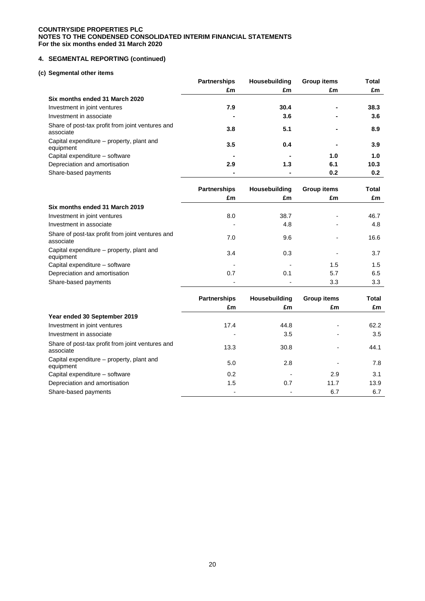## **4. SEGMENTAL REPORTING (continued)**

## **(c) Segmental other items**

|                                                               | <b>Partnerships</b> | Housebuilding | <b>Group items</b> | Total |
|---------------------------------------------------------------|---------------------|---------------|--------------------|-------|
|                                                               | £m                  | £m            | £m                 | £m    |
| Six months ended 31 March 2020                                |                     |               |                    |       |
| Investment in joint ventures                                  | 7.9                 | 30.4          | $\blacksquare$     | 38.3  |
| Investment in associate                                       |                     | 3.6           | $\blacksquare$     | 3.6   |
| Share of post-tax profit from joint ventures and<br>associate | 3.8                 | 5.1           | $\blacksquare$     | 8.9   |
| Capital expenditure – property, plant and<br>equipment        | 3.5                 | 0.4           | ٠                  | 3.9   |
| Capital expenditure - software                                |                     |               | 1.0                | 1.0   |
| Depreciation and amortisation                                 | 2.9                 | 1.3           | 6.1                | 10.3  |
| Share-based payments                                          |                     |               | 0.2                | 0.2   |

|                                                               | <b>Partnerships</b><br>£m | Housebuilding<br>£m | <b>Group items</b><br>£m | Total<br>£m |
|---------------------------------------------------------------|---------------------------|---------------------|--------------------------|-------------|
| Six months ended 31 March 2019                                |                           |                     |                          |             |
| Investment in joint ventures                                  | 8.0                       | 38.7                |                          | 46.7        |
| Investment in associate                                       |                           | 4.8                 |                          | 4.8         |
| Share of post-tax profit from joint ventures and<br>associate | 7.0                       | 9.6                 |                          | 16.6        |
| Capital expenditure – property, plant and<br>equipment        | 3.4                       | 0.3                 |                          | 3.7         |
| Capital expenditure - software                                | $\overline{\phantom{0}}$  |                     | 1.5                      | 1.5         |
| Depreciation and amortisation                                 | 0.7                       | 0.1                 | 5.7                      | 6.5         |
| Share-based payments                                          |                           |                     | 3.3                      | 3.3         |

|                                                               | <b>Partnerships</b><br>£m | Housebuilding<br>£m | <b>Group items</b><br>£m | Total<br>£m |
|---------------------------------------------------------------|---------------------------|---------------------|--------------------------|-------------|
| Year ended 30 September 2019                                  |                           |                     |                          |             |
| Investment in joint ventures                                  | 17.4                      | 44.8                | $\overline{\phantom{0}}$ | 62.2        |
| Investment in associate                                       |                           | 3.5                 | $\blacksquare$           | 3.5         |
| Share of post-tax profit from joint ventures and<br>associate | 13.3                      | 30.8                | $\blacksquare$           | 44.1        |
| Capital expenditure – property, plant and<br>equipment        | 5.0                       | 2.8                 | $\blacksquare$           | 7.8         |
| Capital expenditure – software                                | 0.2                       |                     | 2.9                      | 3.1         |
| Depreciation and amortisation                                 | 1.5                       | 0.7                 | 11.7                     | 13.9        |
| Share-based payments                                          |                           |                     | 6.7                      | 6.7         |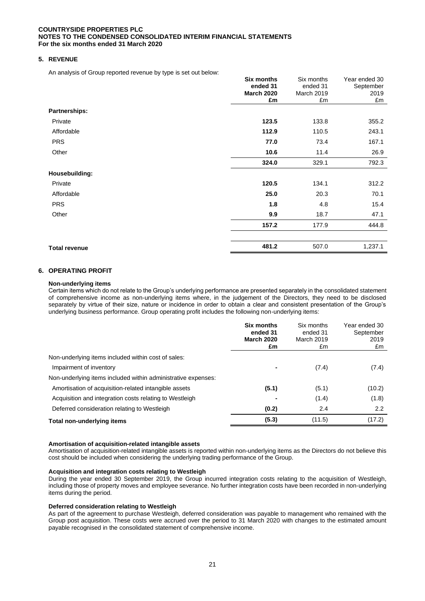## **5. REVENUE**

An analysis of Group reported revenue by type is set out below:

|                      | <b>Six months</b> | Six months | Year ended 30 |
|----------------------|-------------------|------------|---------------|
|                      | ended 31          | ended 31   | September     |
|                      | <b>March 2020</b> | March 2019 | 2019          |
|                      | £m                | £m         | £m            |
| <b>Partnerships:</b> |                   |            |               |
| Private              | 123.5             | 133.8      | 355.2         |
| Affordable           | 112.9             | 110.5      | 243.1         |
| <b>PRS</b>           | 77.0              | 73.4       | 167.1         |
| Other                | 10.6              | 11.4       | 26.9          |
|                      | 324.0             | 329.1      | 792.3         |
| Housebuilding:       |                   |            |               |
| Private              | 120.5             | 134.1      | 312.2         |
| Affordable           | 25.0              | 20.3       | 70.1          |
| <b>PRS</b>           | 1.8               | 4.8        | 15.4          |
| Other                | 9.9               | 18.7       | 47.1          |
|                      | 157.2             | 177.9      | 444.8         |
|                      |                   |            |               |
| <b>Total revenue</b> | 481.2             | 507.0      | 1,237.1       |

### **6. OPERATING PROFIT**

#### **Non-underlying items**

Certain items which do not relate to the Group's underlying performance are presented separately in the consolidated statement of comprehensive income as non-underlying items where, in the judgement of the Directors, they need to be disclosed separately by virtue of their size, nature or incidence in order to obtain a clear and consistent presentation of the Group's underlying business performance. Group operating profit includes the following non-underlying items:

|                                                               | Six months<br>ended 31<br><b>March 2020</b><br>£m | Six months<br>ended 31<br><b>March 2019</b><br>£m | Year ended 30<br>September<br>2019<br>£m |
|---------------------------------------------------------------|---------------------------------------------------|---------------------------------------------------|------------------------------------------|
| Non-underlying items included within cost of sales:           |                                                   |                                                   |                                          |
| Impairment of inventory                                       |                                                   | (7.4)                                             | (7.4)                                    |
| Non-underlying items included within administrative expenses: |                                                   |                                                   |                                          |
| Amortisation of acquisition-related intangible assets         | (5.1)                                             | (5.1)                                             | (10.2)                                   |
| Acquisition and integration costs relating to Westleigh       |                                                   | (1.4)                                             | (1.8)                                    |
| Deferred consideration relating to Westleigh                  | (0.2)                                             | 2.4                                               | $2.2^{\circ}$                            |
| Total non-underlying items                                    | (5.3)                                             | (11.5)                                            | (17.2)                                   |

#### **Amortisation of acquisition-related intangible assets**

Amortisation of acquisition-related intangible assets is reported within non-underlying items as the Directors do not believe this cost should be included when considering the underlying trading performance of the Group.

#### **Acquisition and integration costs relating to Westleigh**

During the year ended 30 September 2019, the Group incurred integration costs relating to the acquisition of Westleigh, including those of property moves and employee severance. No further integration costs have been recorded in non-underlying items during the period.

#### **Deferred consideration relating to Westleigh**

As part of the agreement to purchase Westleigh, deferred consideration was payable to management who remained with the Group post acquisition. These costs were accrued over the period to 31 March 2020 with changes to the estimated amount payable recognised in the consolidated statement of comprehensive income.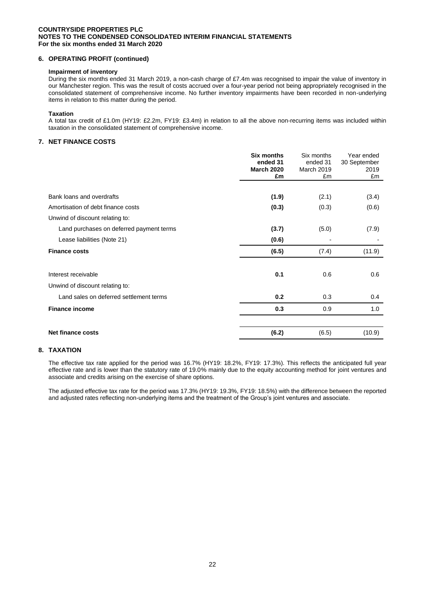## **6. OPERATING PROFIT (continued)**

#### **Impairment of inventory**

During the six months ended 31 March 2019, a non-cash charge of £7.4m was recognised to impair the value of inventory in our Manchester region. This was the result of costs accrued over a four-year period not being appropriately recognised in the consolidated statement of comprehensive income. No further inventory impairments have been recorded in non-underlying items in relation to this matter during the period.

**Taxation**

A total tax credit of £1.0m (HY19: £2.2m, FY19: £3.4m) in relation to all the above non-recurring items was included within taxation in the consolidated statement of comprehensive income.

## **7. NET FINANCE COSTS**

|                                          | Six months<br>ended 31<br><b>March 2020</b><br>£m | Six months<br>ended 31<br><b>March 2019</b><br>£m | Year ended<br>30 September<br>2019<br>£m |
|------------------------------------------|---------------------------------------------------|---------------------------------------------------|------------------------------------------|
|                                          |                                                   |                                                   |                                          |
| Bank loans and overdrafts                | (1.9)                                             | (2.1)                                             | (3.4)                                    |
| Amortisation of debt finance costs       | (0.3)                                             | (0.3)                                             | (0.6)                                    |
| Unwind of discount relating to:          |                                                   |                                                   |                                          |
| Land purchases on deferred payment terms | (3.7)                                             | (5.0)                                             | (7.9)                                    |
| Lease liabilities (Note 21)              | (0.6)                                             |                                                   |                                          |
| <b>Finance costs</b>                     | (6.5)                                             | (7.4)                                             | (11.9)                                   |
| Interest receivable                      | 0.1                                               | 0.6                                               | 0.6                                      |
| Unwind of discount relating to:          |                                                   |                                                   |                                          |
| Land sales on deferred settlement terms  | 0.2                                               | 0.3                                               | 0.4                                      |
| <b>Finance income</b>                    | 0.3                                               | 0.9                                               | 1.0                                      |
|                                          |                                                   |                                                   |                                          |
| <b>Net finance costs</b>                 | (6.2)                                             | (6.5)                                             | (10.9)                                   |

## **8. TAXATION**

The effective tax rate applied for the period was 16.7% (HY19: 18.2%, FY19: 17.3%). This reflects the anticipated full year effective rate and is lower than the statutory rate of 19.0% mainly due to the equity accounting method for joint ventures and associate and credits arising on the exercise of share options.

The adjusted effective tax rate for the period was 17.3% (HY19: 19.3%, FY19: 18.5%) with the difference between the reported and adjusted rates reflecting non-underlying items and the treatment of the Group's joint ventures and associate.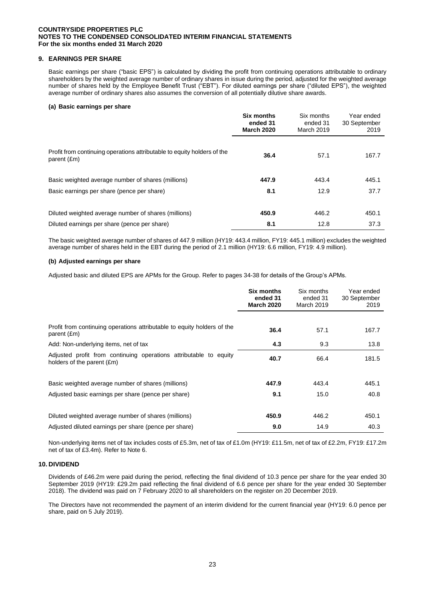## **9. EARNINGS PER SHARE**

Basic earnings per share ("basic EPS") is calculated by dividing the profit from continuing operations attributable to ordinary shareholders by the weighted average number of ordinary shares in issue during the period, adjusted for the weighted average number of shares held by the Employee Benefit Trust ("EBT"). For diluted earnings per share ("diluted EPS"), the weighted average number of ordinary shares also assumes the conversion of all potentially dilutive share awards.

### **(a) Basic earnings per share**

|                                                                                        | Six months<br>ended 31<br><b>March 2020</b> | Six months<br>ended 31<br>March 2019 | Year ended<br>30 September<br>2019 |
|----------------------------------------------------------------------------------------|---------------------------------------------|--------------------------------------|------------------------------------|
| Profit from continuing operations attributable to equity holders of the<br>parent (£m) | 36.4                                        | 57.1                                 | 167.7                              |
| Basic weighted average number of shares (millions)                                     | 447.9                                       | 443.4                                | 445.1                              |
| Basic earnings per share (pence per share)                                             | 8.1                                         | 12.9                                 | 37.7                               |
| Diluted weighted average number of shares (millions)                                   | 450.9                                       | 446.2                                | 450.1                              |
| Diluted earnings per share (pence per share)                                           | 8.1                                         | 12.8                                 | 37.3                               |

The basic weighted average number of shares of 447.9 million (HY19: 443.4 million, FY19: 445.1 million) excludes the weighted average number of shares held in the EBT during the period of 2.1 million (HY19: 6.6 million, FY19: 4.9 million).

### **(b) Adjusted earnings per share**

Adjusted basic and diluted EPS are APMs for the Group. Refer to pages 34-38 for details of the Group's APMs.

|                                                                                                 | Six months<br>ended 31<br><b>March 2020</b> | Six months<br>ended 31<br><b>March 2019</b> | Year ended<br>30 September<br>2019 |
|-------------------------------------------------------------------------------------------------|---------------------------------------------|---------------------------------------------|------------------------------------|
|                                                                                                 |                                             |                                             |                                    |
| Profit from continuing operations attributable to equity holders of the<br>parent (£m)          | 36.4                                        | 57.1                                        | 167.7                              |
| Add: Non-underlying items, net of tax                                                           | 4.3                                         | 9.3                                         | 13.8                               |
| Adjusted profit from continuing operations attributable to equity<br>holders of the parent (£m) | 40.7                                        | 66.4                                        | 181.5                              |
| Basic weighted average number of shares (millions)                                              | 447.9                                       | 443.4                                       | 445.1                              |
| Adjusted basic earnings per share (pence per share)                                             | 9.1                                         | 15.0                                        | 40.8                               |
| Diluted weighted average number of shares (millions)                                            | 450.9                                       | 446.2                                       | 450.1                              |
| Adjusted diluted earnings per share (pence per share)                                           | 9.0                                         | 14.9                                        | 40.3                               |

Non-underlying items net of tax includes costs of £5.3m, net of tax of £1.0m (HY19: £11.5m, net of tax of £2.2m, FY19: £17.2m net of tax of £3.4m). Refer to Note 6.

### **10. DIVIDEND**

Dividends of £46.2m were paid during the period, reflecting the final dividend of 10.3 pence per share for the year ended 30 September 2019 (HY19: £29.2m paid reflecting the final dividend of 6.6 pence per share for the year ended 30 September 2018). The dividend was paid on 7 February 2020 to all shareholders on the register on 20 December 2019.

The Directors have not recommended the payment of an interim dividend for the current financial year (HY19: 6.0 pence per share, paid on 5 July 2019).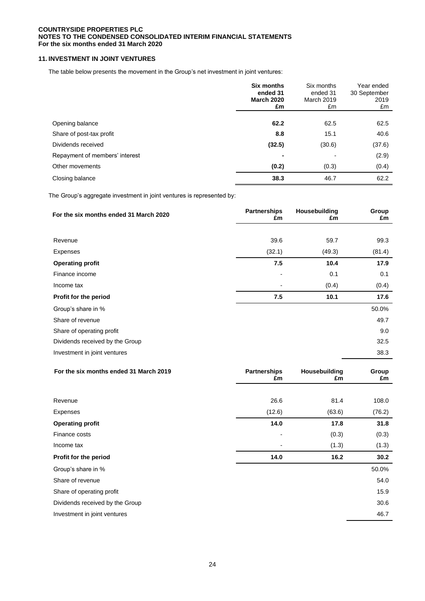# **11. INVESTMENT IN JOINT VENTURES**

The table below presents the movement in the Group's net investment in joint ventures:

|                                | Six months<br>ended 31<br><b>March 2020</b><br>£m | Six months<br>ended 31<br><b>March 2019</b><br>£m | Year ended<br>30 September<br>2019<br>£m |
|--------------------------------|---------------------------------------------------|---------------------------------------------------|------------------------------------------|
|                                |                                                   |                                                   |                                          |
| Opening balance                | 62.2                                              | 62.5                                              | 62.5                                     |
| Share of post-tax profit       | 8.8                                               | 15.1                                              | 40.6                                     |
| Dividends received             | (32.5)                                            | (30.6)                                            | (37.6)                                   |
| Repayment of members' interest | ٠                                                 | $\overline{\phantom{0}}$                          | (2.9)                                    |
| Other movements                | (0.2)                                             | (0.3)                                             | (0.4)                                    |
| Closing balance                | 38.3                                              | 46.7                                              | 62.2                                     |

The Group's aggregate investment in joint ventures is represented by:

| For the six months ended 31 March 2020 | <b>Partnerships</b><br>£m | Housebuilding<br>£m | Group<br>£m |
|----------------------------------------|---------------------------|---------------------|-------------|
|                                        |                           |                     |             |
| Revenue                                | 39.6                      | 59.7                | 99.3        |
| Expenses                               | (32.1)                    | (49.3)              | (81.4)      |
| <b>Operating profit</b>                | 7.5                       | 10.4                | 17.9        |
| Finance income                         | $\overline{\phantom{a}}$  | 0.1                 | 0.1         |
| Income tax                             |                           | (0.4)               | (0.4)       |
| Profit for the period                  | 7.5                       | 10.1                | 17.6        |
| Group's share in %                     |                           |                     | 50.0%       |
| Share of revenue                       |                           |                     | 49.7        |
| Share of operating profit              |                           |                     | 9.0         |
| Dividends received by the Group        |                           |                     | 32.5        |
| Investment in joint ventures           |                           |                     | 38.3        |

| For the six months ended 31 March 2019 | <b>Partnerships</b><br>£m | Housebuilding<br>£m | Group<br>£m |
|----------------------------------------|---------------------------|---------------------|-------------|
|                                        |                           |                     |             |
| Revenue                                | 26.6                      | 81.4                | 108.0       |
| Expenses                               | (12.6)                    | (63.6)              | (76.2)      |
| <b>Operating profit</b>                | 14.0                      | 17.8                | 31.8        |
| Finance costs                          | $\overline{\phantom{0}}$  | (0.3)               | (0.3)       |
| Income tax                             |                           | (1.3)               | (1.3)       |
| Profit for the period                  | 14.0                      | 16.2                | 30.2        |
| Group's share in %                     |                           |                     | 50.0%       |
| Share of revenue                       |                           |                     | 54.0        |
| Share of operating profit              |                           |                     | 15.9        |
| Dividends received by the Group        |                           |                     | 30.6        |
| Investment in joint ventures           |                           |                     | 46.7        |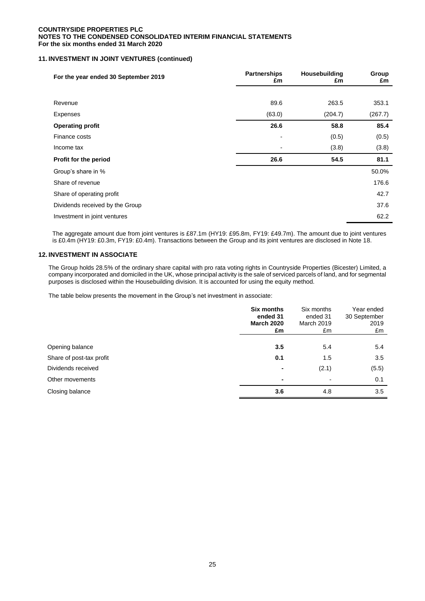## **11. INVESTMENT IN JOINT VENTURES (continued)**

| For the year ended 30 September 2019 | <b>Partnerships</b><br>£m | Housebuilding<br>£m | Group<br>£m |
|--------------------------------------|---------------------------|---------------------|-------------|
|                                      |                           |                     |             |
| Revenue                              | 89.6                      | 263.5               | 353.1       |
| Expenses                             | (63.0)                    | (204.7)             | (267.7)     |
| <b>Operating profit</b>              | 26.6                      | 58.8                | 85.4        |
| Finance costs                        | $\overline{\phantom{a}}$  | (0.5)               | (0.5)       |
| Income tax                           | $\overline{\phantom{a}}$  | (3.8)               | (3.8)       |
| Profit for the period                | 26.6                      | 54.5                | 81.1        |
| Group's share in %                   |                           |                     | 50.0%       |
| Share of revenue                     |                           |                     | 176.6       |
| Share of operating profit            |                           |                     | 42.7        |
| Dividends received by the Group      |                           |                     | 37.6        |
| Investment in joint ventures         |                           |                     | 62.2        |

The aggregate amount due from joint ventures is £87.1m (HY19: £95.8m, FY19: £49.7m). The amount due to joint ventures is £0.4m (HY19: £0.3m, FY19: £0.4m). Transactions between the Group and its joint ventures are disclosed in Note 18.

## **12. INVESTMENT IN ASSOCIATE**

The Group holds 28.5% of the ordinary share capital with pro rata voting rights in Countryside Properties (Bicester) Limited, a company incorporated and domiciled in the UK, whose principal activity is the sale of serviced parcels of land, and for segmental purposes is disclosed within the Housebuilding division. It is accounted for using the equity method.

The table below presents the movement in the Group's net investment in associate:

|                          | <b>Six months</b><br>ended 31<br><b>March 2020</b><br>£m | Six months<br>ended 31<br>March 2019<br>£m | Year ended<br>30 September<br>2019<br>£m |
|--------------------------|----------------------------------------------------------|--------------------------------------------|------------------------------------------|
|                          |                                                          |                                            |                                          |
| Opening balance          | 3.5                                                      | 5.4                                        | 5.4                                      |
| Share of post-tax profit | 0.1                                                      | 1.5                                        | 3.5                                      |
| Dividends received       |                                                          | (2.1)                                      | (5.5)                                    |
| Other movements          |                                                          |                                            | 0.1                                      |
| Closing balance          | 3.6                                                      | 4.8                                        | 3.5                                      |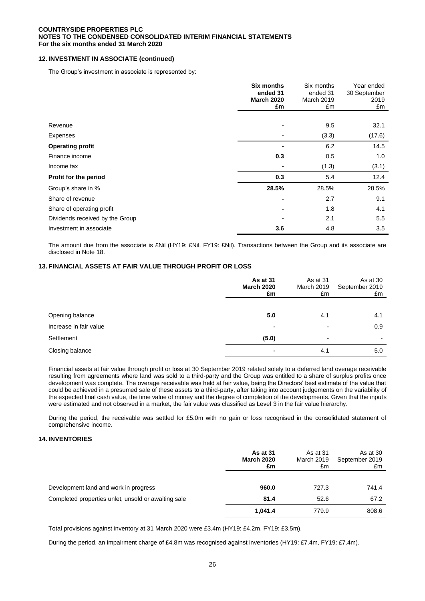## **12. INVESTMENT IN ASSOCIATE (continued)**

The Group's investment in associate is represented by:

|                                 | <b>Six months</b><br>ended 31<br><b>March 2020</b><br>£m | Six months<br>ended 31<br>March 2019<br>£m | Year ended<br>30 September<br>2019<br>£m |
|---------------------------------|----------------------------------------------------------|--------------------------------------------|------------------------------------------|
|                                 |                                                          |                                            |                                          |
| Revenue<br>Expenses             |                                                          | 9.5<br>(3.3)                               | 32.1<br>(17.6)                           |
| <b>Operating profit</b>         |                                                          | 6.2                                        | 14.5                                     |
| Finance income                  | 0.3                                                      | 0.5                                        | 1.0                                      |
| Income tax                      |                                                          | (1.3)                                      | (3.1)                                    |
| Profit for the period           | 0.3                                                      | 5.4                                        | 12.4                                     |
| Group's share in %              | 28.5%                                                    | 28.5%                                      | 28.5%                                    |
| Share of revenue                |                                                          | 2.7                                        | 9.1                                      |
| Share of operating profit       |                                                          | 1.8                                        | 4.1                                      |
| Dividends received by the Group |                                                          | 2.1                                        | 5.5                                      |
| Investment in associate         | 3.6                                                      | 4.8                                        | 3.5                                      |

The amount due from the associate is £Nil (HY19: £Nil, FY19: £Nil). Transactions between the Group and its associate are disclosed in Note 18.

### **13. FINANCIAL ASSETS AT FAIR VALUE THROUGH PROFIT OR LOSS**

|                        | As at 31<br><b>March 2020</b><br>£m | As at 31<br>March 2019<br>£m | As at 30<br>September 2019<br>£m |
|------------------------|-------------------------------------|------------------------------|----------------------------------|
|                        |                                     |                              |                                  |
| Opening balance        | 5.0                                 | 4.1                          | 4.1                              |
| Increase in fair value | ۰                                   | -                            | 0.9                              |
| Settlement             | (5.0)                               |                              |                                  |
| Closing balance        |                                     | 4.1                          | 5.0                              |

Financial assets at fair value through profit or loss at 30 September 2019 related solely to a deferred land overage receivable resulting from agreements where land was sold to a third-party and the Group was entitled to a share of surplus profits once development was complete. The overage receivable was held at fair value, being the Directors' best estimate of the value that could be achieved in a presumed sale of these assets to a third-party, after taking into account judgements on the variability of the expected final cash value, the time value of money and the degree of completion of the developments. Given that the inputs were estimated and not observed in a market, the fair value was classified as Level 3 in the fair value hierarchy.

During the period, the receivable was settled for £5.0m with no gain or loss recognised in the consolidated statement of comprehensive income.

### **14. INVENTORIES**

|                                                     | As at 31<br><b>March 2020</b><br>£m | As at 31<br>March 2019<br>£m | As at 30<br>September 2019<br>£m |
|-----------------------------------------------------|-------------------------------------|------------------------------|----------------------------------|
| Development land and work in progress               | 960.0                               | 727.3                        | 741.4                            |
| Completed properties unlet, unsold or awaiting sale | 81.4                                | 52.6                         | 67.2                             |
|                                                     | 1,041.4                             | 779.9                        | 808.6                            |

Total provisions against inventory at 31 March 2020 were £3.4m (HY19: £4.2m, FY19: £3.5m).

During the period, an impairment charge of £4.8m was recognised against inventories (HY19: £7.4m, FY19: £7.4m).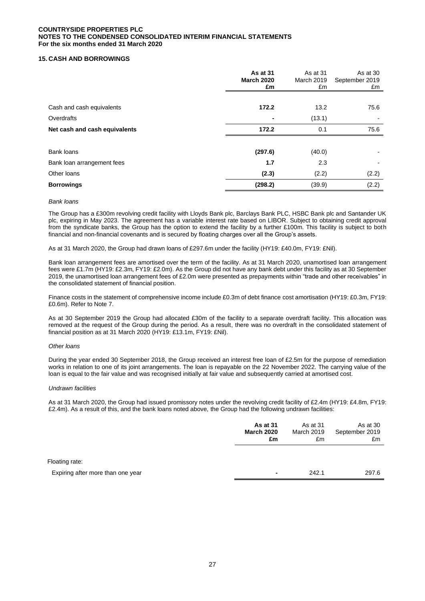## **15. CASH AND BORROWINGS**

|                               | <b>As at 31</b><br><b>March 2020</b> | As at 31<br>March 2019 | As at 30<br>September 2019 |
|-------------------------------|--------------------------------------|------------------------|----------------------------|
|                               | £m                                   | £m                     | £m                         |
|                               |                                      |                        |                            |
| Cash and cash equivalents     | 172.2                                | 13.2                   | 75.6                       |
| Overdrafts                    |                                      | (13.1)                 |                            |
| Net cash and cash equivalents | 172.2                                | 0.1                    | 75.6                       |
|                               |                                      |                        |                            |
| Bank loans                    | (297.6)                              | (40.0)                 |                            |
| Bank loan arrangement fees    | 1.7                                  | 2.3                    |                            |
| Other loans                   | (2.3)                                | (2.2)                  | (2.2)                      |
| <b>Borrowings</b>             | (298.2)                              | (39.9)                 | (2.2)                      |

### *Bank loans*

The Group has a £300m revolving credit facility with Lloyds Bank plc, Barclays Bank PLC, HSBC Bank plc and Santander UK plc, expiring in May 2023. The agreement has a variable interest rate based on LIBOR. Subject to obtaining credit approval from the syndicate banks, the Group has the option to extend the facility by a further £100m. This facility is subject to both financial and non-financial covenants and is secured by floating charges over all the Group's assets.

As at 31 March 2020, the Group had drawn loans of £297.6m under the facility (HY19: £40.0m, FY19: £Nil).

Bank loan arrangement fees are amortised over the term of the facility. As at 31 March 2020, unamortised loan arrangement fees were £1.7m (HY19: £2.3m, FY19: £2.0m). As the Group did not have any bank debt under this facility as at 30 September 2019, the unamortised loan arrangement fees of £2.0m were presented as prepayments within "trade and other receivables" in the consolidated statement of financial position.

Finance costs in the statement of comprehensive income include £0.3m of debt finance cost amortisation (HY19: £0.3m, FY19: £0.6m). Refer to Note 7.

As at 30 September 2019 the Group had allocated £30m of the facility to a separate overdraft facility. This allocation was removed at the request of the Group during the period. As a result, there was no overdraft in the consolidated statement of financial position as at 31 March 2020 (HY19: £13.1m, FY19: £Nil).

#### *Other loans*

During the year ended 30 September 2018, the Group received an interest free loan of £2.5m for the purpose of remediation works in relation to one of its joint arrangements. The loan is repayable on the 22 November 2022. The carrying value of the loan is equal to the fair value and was recognised initially at fair value and subsequently carried at amortised cost.

#### *Undrawn facilities*

As at 31 March 2020, the Group had issued promissory notes under the revolving credit facility of £2.4m (HY19: £4.8m, FY19: £2.4m). As a result of this, and the bank loans noted above, the Group had the following undrawn facilities:

|                                                     | As at 31          | As at 31   | As at 30       |
|-----------------------------------------------------|-------------------|------------|----------------|
|                                                     | <b>March 2020</b> | March 2019 | September 2019 |
|                                                     | £m                | £m         | £m             |
| Floating rate:<br>Expiring after more than one year | ۰                 | 242.1      | 297.6          |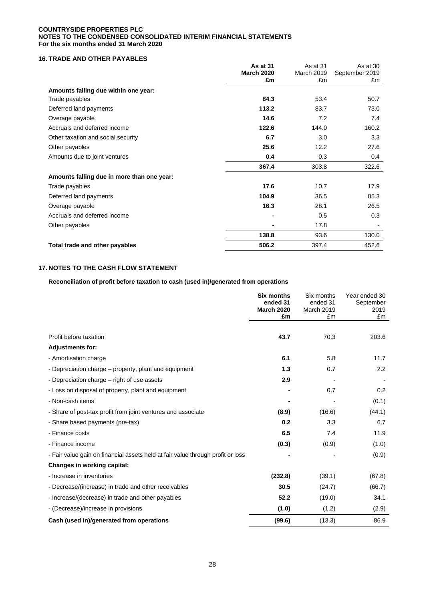## **16. TRADE AND OTHER PAYABLES**

|                                            | As at 31<br><b>March 2020</b> | As at 31<br><b>March 2019</b> | As at 30<br>September 2019 |
|--------------------------------------------|-------------------------------|-------------------------------|----------------------------|
|                                            | £m                            | £m                            | £m                         |
| Amounts falling due within one year:       |                               |                               |                            |
| Trade payables                             | 84.3                          | 53.4                          | 50.7                       |
| Deferred land payments                     | 113.2                         | 83.7                          | 73.0                       |
| Overage payable                            | 14.6                          | 7.2                           | 7.4                        |
| Accruals and deferred income               | 122.6                         | 144.0                         | 160.2                      |
| Other taxation and social security         | 6.7                           | 3.0                           | 3.3                        |
| Other payables                             | 25.6                          | 12.2                          | 27.6                       |
| Amounts due to joint ventures              | 0.4                           | 0.3                           | 0.4                        |
|                                            | 367.4                         | 303.8                         | 322.6                      |
| Amounts falling due in more than one year: |                               |                               |                            |
| Trade payables                             | 17.6                          | 10.7                          | 17.9                       |
| Deferred land payments                     | 104.9                         | 36.5                          | 85.3                       |
| Overage payable                            | 16.3                          | 28.1                          | 26.5                       |
| Accruals and deferred income               |                               | 0.5                           | 0.3                        |
| Other payables                             |                               | 17.8                          |                            |
|                                            | 138.8                         | 93.6                          | 130.0                      |
| Total trade and other payables             | 506.2                         | 397.4                         | 452.6                      |

## **17. NOTES TO THE CASH FLOW STATEMENT**

## **Reconciliation of profit before taxation to cash (used in)/generated from operations**

|                                                                                 | <b>Six months</b><br>ended 31<br><b>March 2020</b><br>£m | Six months<br>ended 31<br>March 2019<br>£m | Year ended 30<br>September<br>2019<br>£m |
|---------------------------------------------------------------------------------|----------------------------------------------------------|--------------------------------------------|------------------------------------------|
|                                                                                 |                                                          |                                            |                                          |
| Profit before taxation                                                          | 43.7                                                     | 70.3                                       | 203.6                                    |
| <b>Adjustments for:</b>                                                         |                                                          |                                            |                                          |
| - Amortisation charge                                                           | 6.1                                                      | 5.8                                        | 11.7                                     |
| - Depreciation charge – property, plant and equipment                           | 1.3                                                      | 0.7                                        | 2.2                                      |
| - Depreciation charge – right of use assets                                     | 2.9                                                      |                                            |                                          |
| - Loss on disposal of property, plant and equipment                             |                                                          | 0.7                                        | 0.2                                      |
| - Non-cash items                                                                |                                                          |                                            | (0.1)                                    |
| - Share of post-tax profit from joint ventures and associate                    | (8.9)                                                    | (16.6)                                     | (44.1)                                   |
| - Share based payments (pre-tax)                                                | 0.2                                                      | 3.3                                        | 6.7                                      |
| - Finance costs                                                                 | 6.5                                                      | 7.4                                        | 11.9                                     |
| - Finance income                                                                | (0.3)                                                    | (0.9)                                      | (1.0)                                    |
| - Fair value gain on financial assets held at fair value through profit or loss |                                                          |                                            | (0.9)                                    |
| <b>Changes in working capital:</b>                                              |                                                          |                                            |                                          |
| - Increase in inventories                                                       | (232.8)                                                  | (39.1)                                     | (67.8)                                   |
| - Decrease/(increase) in trade and other receivables                            | 30.5                                                     | (24.7)                                     | (66.7)                                   |
| - Increase/(decrease) in trade and other payables                               | 52.2                                                     | (19.0)                                     | 34.1                                     |
| - (Decrease)/increase in provisions                                             | (1.0)                                                    | (1.2)                                      | (2.9)                                    |
| Cash (used in)/generated from operations                                        | (99.6)                                                   | (13.3)                                     | 86.9                                     |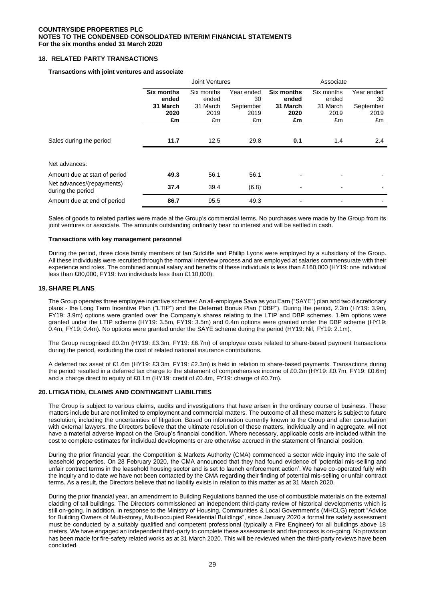## **18. RELATED PARTY TRANSACTIONS**

#### **Transactions with joint ventures and associate**

|                                                |                                                      | <b>Joint Ventures</b>                         |                                             | Associate                                            |                                               |                                             |
|------------------------------------------------|------------------------------------------------------|-----------------------------------------------|---------------------------------------------|------------------------------------------------------|-----------------------------------------------|---------------------------------------------|
|                                                | <b>Six months</b><br>ended<br>31 March<br>2020<br>£m | Six months<br>ended<br>31 March<br>2019<br>£m | Year ended<br>30<br>September<br>2019<br>£m | <b>Six months</b><br>ended<br>31 March<br>2020<br>£m | Six months<br>ended<br>31 March<br>2019<br>£m | Year ended<br>30<br>September<br>2019<br>£m |
| Sales during the period                        | 11.7                                                 | 12.5                                          | 29.8                                        | 0.1                                                  | 1.4                                           | 2.4                                         |
| Net advances:                                  |                                                      |                                               |                                             |                                                      |                                               |                                             |
| Amount due at start of period                  | 49.3                                                 | 56.1                                          | 56.1                                        |                                                      |                                               |                                             |
| Net advances/(repayments)<br>during the period | 37.4                                                 | 39.4                                          | (6.8)                                       |                                                      |                                               |                                             |
| Amount due at end of period                    | 86.7                                                 | 95.5                                          | 49.3                                        |                                                      |                                               |                                             |

Sales of goods to related parties were made at the Group's commercial terms. No purchases were made by the Group from its joint ventures or associate. The amounts outstanding ordinarily bear no interest and will be settled in cash.

#### **Transactions with key management personnel**

During the period, three close family members of Ian Sutcliffe and Phillip Lyons were employed by a subsidiary of the Group. All these individuals were recruited through the normal interview process and are employed at salaries commensurate with their experience and roles. The combined annual salary and benefits of these individuals is less than £160,000 (HY19: one individual less than £80,000, FY19: two individuals less than £110,000).

### **19. SHARE PLANS**

The Group operates three employee incentive schemes: An all-employee Save as you Earn ("SAYE") plan and two discretionary plans - the Long Term Incentive Plan ("LTIP") and the Deferred Bonus Plan ("DBP"). During the period, 2.3m (HY19: 3.9m, FY19: 3.9m) options were granted over the Company's shares relating to the LTIP and DBP schemes. 1.9m options were granted under the LTIP scheme (HY19: 3.5m, FY19: 3.5m) and 0.4m options were granted under the DBP scheme (HY19: 0.4m, FY19: 0.4m). No options were granted under the SAYE scheme during the period (HY19: Nil, FY19: 2.1m).

The Group recognised £0.2m (HY19: £3.3m, FY19: £6.7m) of employee costs related to share-based payment transactions during the period, excluding the cost of related national insurance contributions.

A deferred tax asset of £1.6m (HY19: £3.3m, FY19: £2.3m) is held in relation to share-based payments. Transactions during the period resulted in a deferred tax charge to the statement of comprehensive income of £0.2m (HY19: £0.7m, FY19: £0.6m) and a charge direct to equity of £0.1m (HY19: credit of £0.4m, FY19: charge of £0.7m).

#### **20. LITIGATION, CLAIMS AND CONTINGENT LIABILITIES**

The Group is subject to various claims, audits and investigations that have arisen in the ordinary course of business. These matters include but are not limited to employment and commercial matters. The outcome of all these matters is subject to future resolution, including the uncertainties of litigation. Based on information currently known to the Group and after consultation with external lawyers, the Directors believe that the ultimate resolution of these matters, individually and in aggregate, will not have a material adverse impact on the Group's financial condition. Where necessary, applicable costs are included within the cost to complete estimates for individual developments or are otherwise accrued in the statement of financial position.

During the prior financial year, the Competition & Markets Authority (CMA) commenced a sector wide inquiry into the sale of leasehold properties. On 28 February 2020, the CMA announced that they had found evidence of 'potential mis-selling and unfair contract terms in the leasehold housing sector and is set to launch enforcement action'. We have co-operated fully with the inquiry and to date we have not been contacted by the CMA regarding their finding of potential mis-selling or unfair contract terms. As a result, the Directors believe that no liability exists in relation to this matter as at 31 March 2020.

During the prior financial year, an amendment to Building Regulations banned the use of combustible materials on the external cladding of tall buildings. The Directors commissioned an independent third-party review of historical developments which is still on-going. In addition, in response to the Ministry of Housing, Communities & Local Government's (MHCLG) report "Advice for Building Owners of Multi-storey, Multi-occupied Residential Buildings", since January 2020 a formal fire safety assessment must be conducted by a suitably qualified and competent professional (typically a Fire Engineer) for all buildings above 18 meters. We have engaged an independent third-party to complete these assessments and the process is on-going. No provision has been made for fire-safety related works as at 31 March 2020. This will be reviewed when the third-party reviews have been concluded.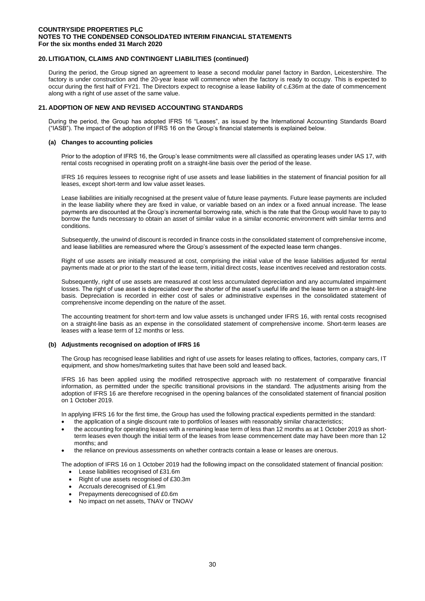## **20. LITIGATION, CLAIMS AND CONTINGENT LIABILITIES (continued)**

During the period, the Group signed an agreement to lease a second modular panel factory in Bardon, Leicestershire. The factory is under construction and the 20-year lease will commence when the factory is ready to occupy. This is expected to occur during the first half of FY21. The Directors expect to recognise a lease liability of c.£36m at the date of commencement along with a right of use asset of the same value.

### **21. ADOPTION OF NEW AND REVISED ACCOUNTING STANDARDS**

During the period, the Group has adopted IFRS 16 "Leases", as issued by the International Accounting Standards Board ("IASB"). The impact of the adoption of IFRS 16 on the Group's financial statements is explained below.

#### **(a) Changes to accounting policies**

Prior to the adoption of IFRS 16, the Group's lease commitments were all classified as operating leases under IAS 17, with rental costs recognised in operating profit on a straight-line basis over the period of the lease.

IFRS 16 requires lessees to recognise right of use assets and lease liabilities in the statement of financial position for all leases, except short-term and low value asset leases.

Lease liabilities are initially recognised at the present value of future lease payments. Future lease payments are included in the lease liability where they are fixed in value, or variable based on an index or a fixed annual increase. The lease payments are discounted at the Group's incremental borrowing rate, which is the rate that the Group would have to pay to borrow the funds necessary to obtain an asset of similar value in a similar economic environment with similar terms and conditions.

Subsequently, the unwind of discount is recorded in finance costs in the consolidated statement of comprehensive income, and lease liabilities are remeasured where the Group's assessment of the expected lease term changes.

Right of use assets are initially measured at cost, comprising the initial value of the lease liabilities adjusted for rental payments made at or prior to the start of the lease term, initial direct costs, lease incentives received and restoration costs.

Subsequently, right of use assets are measured at cost less accumulated depreciation and any accumulated impairment losses. The right of use asset is depreciated over the shorter of the asset's useful life and the lease term on a straight-line basis. Depreciation is recorded in either cost of sales or administrative expenses in the consolidated statement of comprehensive income depending on the nature of the asset.

The accounting treatment for short-term and low value assets is unchanged under IFRS 16, with rental costs recognised on a straight-line basis as an expense in the consolidated statement of comprehensive income. Short-term leases are leases with a lease term of 12 months or less.

#### **(b) Adjustments recognised on adoption of IFRS 16**

The Group has recognised lease liabilities and right of use assets for leases relating to offices, factories, company cars, IT equipment, and show homes/marketing suites that have been sold and leased back.

IFRS 16 has been applied using the modified retrospective approach with no restatement of comparative financial information, as permitted under the specific transitional provisions in the standard. The adjustments arising from the adoption of IFRS 16 are therefore recognised in the opening balances of the consolidated statement of financial position on 1 October 2019.

In applying IFRS 16 for the first time, the Group has used the following practical expedients permitted in the standard:

- the application of a single discount rate to portfolios of leases with reasonably similar characteristics;
- the accounting for operating leases with a remaining lease term of less than 12 months as at 1 October 2019 as shortterm leases even though the initial term of the leases from lease commencement date may have been more than 12 months; and
- the reliance on previous assessments on whether contracts contain a lease or leases are onerous.

The adoption of IFRS 16 on 1 October 2019 had the following impact on the consolidated statement of financial position:

- Lease liabilities recognised of £31.6m
- Right of use assets recognised of £30.3m
- Accruals derecognised of £1.9m
- Prepayments derecognised of £0.6m
- No impact on net assets, TNAV or TNOAV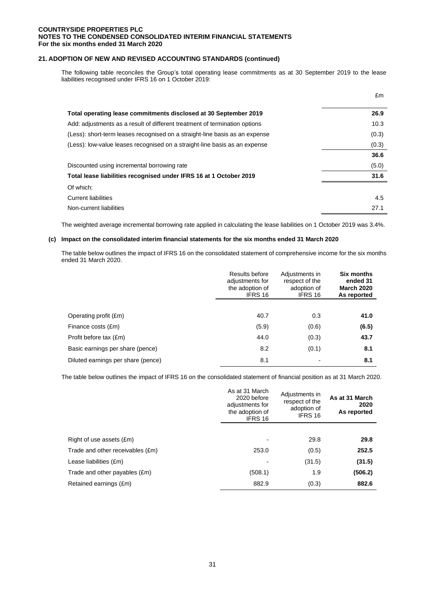# **21. ADOPTION OF NEW AND REVISED ACCOUNTING STANDARDS (continued)**

The following table reconciles the Group's total operating lease commitments as at 30 September 2019 to the lease liabilities recognised under IFRS 16 on 1 October 2019:

|                                                                             | £m    |
|-----------------------------------------------------------------------------|-------|
| Total operating lease commitments disclosed at 30 September 2019            | 26.9  |
| Add: adjustments as a result of different treatment of termination options  | 10.3  |
| (Less): short-term leases recognised on a straight-line basis as an expense | (0.3) |
| (Less): low-value leases recognised on a straight-line basis as an expense  | (0.3) |
|                                                                             | 36.6  |
| Discounted using incremental borrowing rate                                 | (5.0) |
| Total lease liabilities recognised under IFRS 16 at 1 October 2019          | 31.6  |
| Of which:                                                                   |       |
| <b>Current liabilities</b>                                                  | 4.5   |
| Non-current liabilities                                                     | 27.1  |

The weighted average incremental borrowing rate applied in calculating the lease liabilities on 1 October 2019 was 3.4%.

### **(c) Impact on the consolidated interim financial statements for the six months ended 31 March 2020**

The table below outlines the impact of IFRS 16 on the consolidated statement of comprehensive income for the six months ended 31 March 2020.

|                                    | Results before<br>adjustments for<br>the adoption of<br>IFRS 16 | Adjustments in<br>respect of the<br>adoption of<br>IFRS 16 | <b>Six months</b><br>ended 31<br><b>March 2020</b><br>As reported |
|------------------------------------|-----------------------------------------------------------------|------------------------------------------------------------|-------------------------------------------------------------------|
|                                    |                                                                 |                                                            |                                                                   |
| Operating profit (£m)              | 40.7                                                            | 0.3                                                        | 41.0                                                              |
| Finance costs (£m)                 | (5.9)                                                           | (0.6)                                                      | (6.5)                                                             |
| Profit before tax (£m)             | 44.0                                                            | (0.3)                                                      | 43.7                                                              |
| Basic earnings per share (pence)   | 8.2                                                             | (0.1)                                                      | 8.1                                                               |
| Diluted earnings per share (pence) | 8.1                                                             |                                                            | 8.1                                                               |

The table below outlines the impact of IFRS 16 on the consolidated statement of financial position as at 31 March 2020.

|                                  | As at 31 March<br>2020 before<br>adjustments for<br>the adoption of<br>IFRS 16 | Adjustments in<br>respect of the<br>adoption of<br>IFRS 16 | As at 31 March<br>2020<br>As reported |
|----------------------------------|--------------------------------------------------------------------------------|------------------------------------------------------------|---------------------------------------|
|                                  |                                                                                |                                                            |                                       |
| Right of use assets (£m)         | -                                                                              | 29.8                                                       | 29.8                                  |
| Trade and other receivables (£m) | 253.0                                                                          | (0.5)                                                      | 252.5                                 |
| Lease liabilities (£m)           |                                                                                | (31.5)                                                     | (31.5)                                |
| Trade and other payables (£m)    | (508.1)                                                                        | 1.9                                                        | (506.2)                               |
| Retained earnings (£m)           | 882.9                                                                          | (0.3)                                                      | 882.6                                 |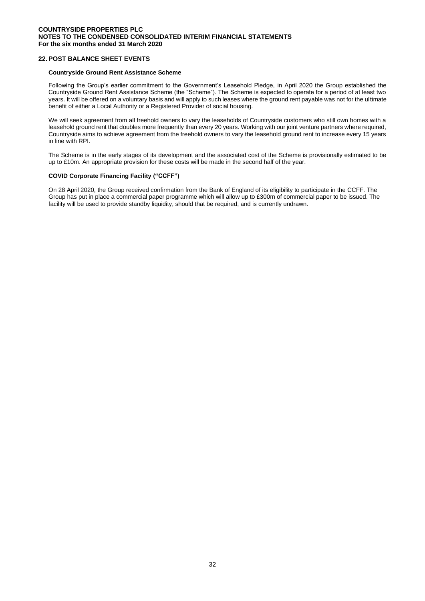## **22. POST BALANCE SHEET EVENTS**

#### **Countryside Ground Rent Assistance Scheme**

Following the Group's earlier commitment to the Government's Leasehold Pledge, in April 2020 the Group established the Countryside Ground Rent Assistance Scheme (the "Scheme"). The Scheme is expected to operate for a period of at least two years. It will be offered on a voluntary basis and will apply to such leases where the ground rent payable was not for the ultimate benefit of either a Local Authority or a Registered Provider of social housing.

We will seek agreement from all freehold owners to vary the leaseholds of Countryside customers who still own homes with a leasehold ground rent that doubles more frequently than every 20 years. Working with our joint venture partners where required, Countryside aims to achieve agreement from the freehold owners to vary the leasehold ground rent to increase every 15 years in line with RPI.

The Scheme is in the early stages of its development and the associated cost of the Scheme is provisionally estimated to be up to £10m. An appropriate provision for these costs will be made in the second half of the year.

### **COVID Corporate Financing Facility ("CCFF")**

On 28 April 2020, the Group received confirmation from the Bank of England of its eligibility to participate in the CCFF. The Group has put in place a commercial paper programme which will allow up to £300m of commercial paper to be issued. The facility will be used to provide standby liquidity, should that be required, and is currently undrawn.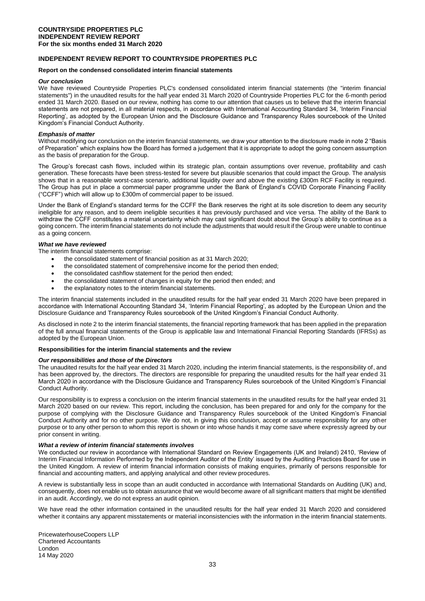## **INDEPENDENT REVIEW REPORT TO COUNTRYSIDE PROPERTIES PLC**

### **Report on the condensed consolidated interim financial statements**

#### *Our conclusion*

We have reviewed Countryside Properties PLC's condensed consolidated interim financial statements (the "interim financial statements") in the unaudited results for the half year ended 31 March 2020 of Countryside Properties PLC for the 6-month period ended 31 March 2020. Based on our review, nothing has come to our attention that causes us to believe that the interim financial statements are not prepared, in all material respects, in accordance with International Accounting Standard 34, 'Interim Financial Reporting', as adopted by the European Union and the Disclosure Guidance and Transparency Rules sourcebook of the United Kingdom's Financial Conduct Authority.

#### *Emphasis of matter*

Without modifying our conclusion on the interim financial statements, we draw your attention to the disclosure made in note 2 "Basis of Preparation" which explains how the Board has formed a judgement that it is appropriate to adopt the going concern assumption as the basis of preparation for the Group.

The Group's forecast cash flows, included within its strategic plan, contain assumptions over revenue, profitability and cash generation. These forecasts have been stress-tested for severe but plausible scenarios that could impact the Group. The analysis shows that in a reasonable worst-case scenario, additional liquidity over and above the existing £300m RCF Facility is required. The Group has put in place a commercial paper programme under the Bank of England's COVID Corporate Financing Facility ("CCFF") which will allow up to £300m of commercial paper to be issued.

Under the Bank of England's standard terms for the CCFF the Bank reserves the right at its sole discretion to deem any security ineligible for any reason, and to deem ineligible securities it has previously purchased and vice versa. The ability of the Bank to withdraw the CCFF constitutes a material uncertainty which may cast significant doubt about the Group's ability to continue as a going concern. The interim financial statements do not include the adjustments that would result if the Group were unable to continue as a going concern.

### *What we have reviewed*

The interim financial statements comprise:

- the consolidated statement of financial position as at 31 March 2020;
- the consolidated statement of comprehensive income for the period then ended;
- the consolidated cashflow statement for the period then ended;
- the consolidated statement of changes in equity for the period then ended; and
- the explanatory notes to the interim financial statements.

The interim financial statements included in the unaudited results for the half year ended 31 March 2020 have been prepared in accordance with International Accounting Standard 34, 'Interim Financial Reporting', as adopted by the European Union and the Disclosure Guidance and Transparency Rules sourcebook of the United Kingdom's Financial Conduct Authority.

As disclosed in note 2 to the interim financial statements, the financial reporting framework that has been applied in the preparation of the full annual financial statements of the Group is applicable law and International Financial Reporting Standards (IFRSs) as adopted by the European Union.

### **Responsibilities for the interim financial statements and the review**

#### *Our responsibilities and those of the Directors*

The unaudited results for the half year ended 31 March 2020, including the interim financial statements, is the responsibility of, and has been approved by, the directors. The directors are responsible for preparing the unaudited results for the half year ended 31 March 2020 in accordance with the Disclosure Guidance and Transparency Rules sourcebook of the United Kingdom's Financial Conduct Authority.

Our responsibility is to express a conclusion on the interim financial statements in the unaudited results for the half year ended 31 March 2020 based on our review. This report, including the conclusion, has been prepared for and only for the company for the purpose of complying with the Disclosure Guidance and Transparency Rules sourcebook of the United Kingdom's Financial Conduct Authority and for no other purpose. We do not, in giving this conclusion, accept or assume responsibility for any other purpose or to any other person to whom this report is shown or into whose hands it may come save where expressly agreed by our prior consent in writing.

#### *What a review of interim financial statements involves*

We conducted our review in accordance with International Standard on Review Engagements (UK and Ireland) 2410, 'Review of Interim Financial Information Performed by the Independent Auditor of the Entity' issued by the Auditing Practices Board for use in the United Kingdom. A review of interim financial information consists of making enquiries, primarily of persons responsible for financial and accounting matters, and applying analytical and other review procedures.

A review is substantially less in scope than an audit conducted in accordance with International Standards on Auditing (UK) and, consequently, does not enable us to obtain assurance that we would become aware of all significant matters that might be identified in an audit. Accordingly, we do not express an audit opinion.

We have read the other information contained in the unaudited results for the half year ended 31 March 2020 and considered whether it contains any apparent misstatements or material inconsistencies with the information in the interim financial statements.

PricewaterhouseCoopers LLP Chartered Accountants London 14 May 2020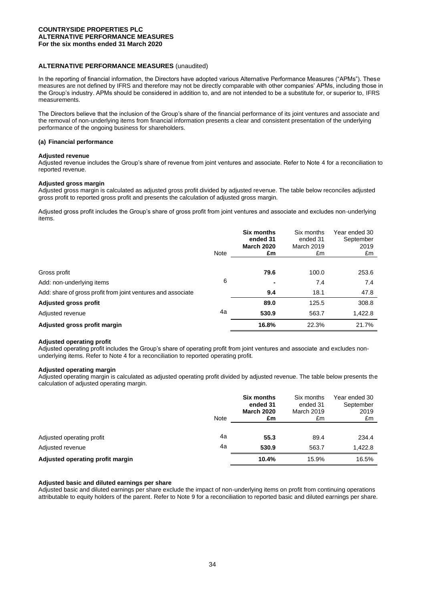## **ALTERNATIVE PERFORMANCE MEASURES** (unaudited)

In the reporting of financial information, the Directors have adopted various Alternative Performance Measures ("APMs"). These measures are not defined by IFRS and therefore may not be directly comparable with other companies' APMs, including those in the Group's industry. APMs should be considered in addition to, and are not intended to be a substitute for, or superior to, IFRS measurements.

The Directors believe that the inclusion of the Group's share of the financial performance of its joint ventures and associate and the removal of non-underlying items from financial information presents a clear and consistent presentation of the underlying performance of the ongoing business for shareholders.

### **(a) Financial performance**

### **Adjusted revenue**

Adjusted revenue includes the Group's share of revenue from joint ventures and associate. Refer to Note 4 for a reconciliation to reported revenue.

### **Adjusted gross margin**

Adjusted gross margin is calculated as adjusted gross profit divided by adjusted revenue. The table below reconciles adjusted gross profit to reported gross profit and presents the calculation of adjusted gross margin.

Adjusted gross profit includes the Group's share of gross profit from joint ventures and associate and excludes non-underlying items.

|                                                              | Note | Six months<br>ended 31<br><b>March 2020</b><br>£m | Six months<br>ended 31<br>March 2019<br>£m | Year ended 30<br>September<br>2019<br>£m |
|--------------------------------------------------------------|------|---------------------------------------------------|--------------------------------------------|------------------------------------------|
|                                                              |      |                                                   |                                            |                                          |
| Gross profit                                                 |      | 79.6                                              | 100.0                                      | 253.6                                    |
| Add: non-underlying items                                    | 6    |                                                   | 7.4                                        | 7.4                                      |
| Add: share of gross profit from joint ventures and associate |      | 9.4                                               | 18.1                                       | 47.8                                     |
| <b>Adjusted gross profit</b>                                 |      | 89.0                                              | 125.5                                      | 308.8                                    |
| Adjusted revenue                                             | 4a   | 530.9                                             | 563.7                                      | 1,422.8                                  |
| Adjusted gross profit margin                                 |      | 16.8%                                             | 22.3%                                      | 21.7%                                    |

#### **Adjusted operating profit**

Adjusted operating profit includes the Group's share of operating profit from joint ventures and associate and excludes nonunderlying items. Refer to Note 4 for a reconciliation to reported operating profit.

#### **Adjusted operating margin**

Adjusted operating margin is calculated as adjusted operating profit divided by adjusted revenue. The table below presents the calculation of adjusted operating margin.

|                                               | Note     | <b>Six months</b><br>ended 31<br><b>March 2020</b><br>£m | Six months<br>ended 31<br>March 2019<br>£m | Year ended 30<br>September<br>2019<br>£m |
|-----------------------------------------------|----------|----------------------------------------------------------|--------------------------------------------|------------------------------------------|
| Adjusted operating profit<br>Adjusted revenue | 4a<br>4a | 55.3<br>530.9                                            | 89.4<br>563.7                              | 234.4<br>1,422.8                         |
| Adjusted operating profit margin              |          | 10.4%                                                    | 15.9%                                      | 16.5%                                    |

#### **Adjusted basic and diluted earnings per share**

Adjusted basic and diluted earnings per share exclude the impact of non-underlying items on profit from continuing operations attributable to equity holders of the parent. Refer to Note 9 for a reconciliation to reported basic and diluted earnings per share.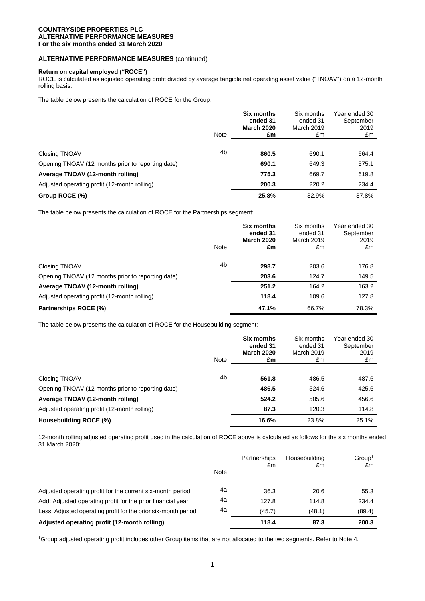## **ALTERNATIVE PERFORMANCE MEASURES** (continued)

### **Return on capital employed ("ROCE")**

ROCE is calculated as adjusted operating profit divided by average tangible net operating asset value ("TNOAV") on a 12-month rolling basis.

The table below presents the calculation of ROCE for the Group:

|                                                   |                | Six months<br>ended 31 | Six months<br>ended 31 | Year ended 30<br>September |
|---------------------------------------------------|----------------|------------------------|------------------------|----------------------------|
|                                                   | Note           | <b>March 2020</b>      | <b>March 2019</b>      | 2019                       |
|                                                   |                | £m                     | £m                     | £m                         |
| Closing TNOAV                                     | 4 <sub>b</sub> | 860.5                  | 690.1                  | 664.4                      |
| Opening TNOAV (12 months prior to reporting date) |                | 690.1                  | 649.3                  | 575.1                      |
| Average TNOAV (12-month rolling)                  |                | 775.3                  | 669.7                  | 619.8                      |
| Adjusted operating profit (12-month rolling)      |                | 200.3                  | 220.2                  | 234.4                      |
| Group ROCE (%)                                    |                | 25.8%                  | 32.9%                  | 37.8%                      |

The table below presents the calculation of ROCE for the Partnerships segment:

|                                                   | Note           | Six months<br>ended 31<br><b>March 2020</b><br>£m | Six months<br>ended 31<br>March 2019<br>£m | Year ended 30<br>September<br>2019<br>£m |
|---------------------------------------------------|----------------|---------------------------------------------------|--------------------------------------------|------------------------------------------|
|                                                   |                |                                                   |                                            |                                          |
| Closing TNOAV                                     | 4 <sub>b</sub> | 298.7                                             | 203.6                                      | 176.8                                    |
| Opening TNOAV (12 months prior to reporting date) |                | 203.6                                             | 124.7                                      | 149.5                                    |
| Average TNOAV (12-month rolling)                  |                | 251.2                                             | 164.2                                      | 163.2                                    |
| Adjusted operating profit (12-month rolling)      |                | 118.4                                             | 109.6                                      | 127.8                                    |
| Partnerships ROCE (%)                             |                | 47.1%                                             | 66.7%                                      | 78.3%                                    |

The table below presents the calculation of ROCE for the Housebuilding segment:

|                                                   | Note           | Six months<br>ended 31<br><b>March 2020</b><br>£m | Six months<br>ended 31<br><b>March 2019</b><br>£m | Year ended 30<br>September<br>2019<br>£m |
|---------------------------------------------------|----------------|---------------------------------------------------|---------------------------------------------------|------------------------------------------|
| <b>Closing TNOAV</b>                              | 4 <sub>b</sub> | 561.8                                             | 486.5                                             | 487.6                                    |
| Opening TNOAV (12 months prior to reporting date) |                | 486.5                                             | 524.6                                             | 425.6                                    |
| Average TNOAV (12-month rolling)                  |                | 524.2                                             | 505.6                                             | 456.6                                    |
| Adjusted operating profit (12-month rolling)      |                | 87.3                                              | 120.3                                             | 114.8                                    |
| Housebuilding ROCE (%)                            |                | 16.6%                                             | 23.8%                                             | 25.1%                                    |

12-month rolling adjusted operating profit used in the calculation of ROCE above is calculated as follows for the six months ended 31 March 2020:

|                                                                |      | Partnerships<br>£m | Housebuilding<br>£m | Group <sup>1</sup><br>£m |
|----------------------------------------------------------------|------|--------------------|---------------------|--------------------------|
|                                                                | Note |                    |                     |                          |
| Adjusted operating profit for the current six-month period     | 4a   | 36.3               | 20.6                | 55.3                     |
| Add: Adjusted operating profit for the prior financial year    | 4a   | 127.8              | 114.8               | 234.4                    |
| Less: Adjusted operating profit for the prior six-month period | 4a   | (45.7)             | (48.1)              | (89.4)                   |
| Adjusted operating profit (12-month rolling)                   |      | 118.4              | 87.3                | 200.3                    |

1Group adjusted operating profit includes other Group items that are not allocated to the two segments. Refer to Note 4.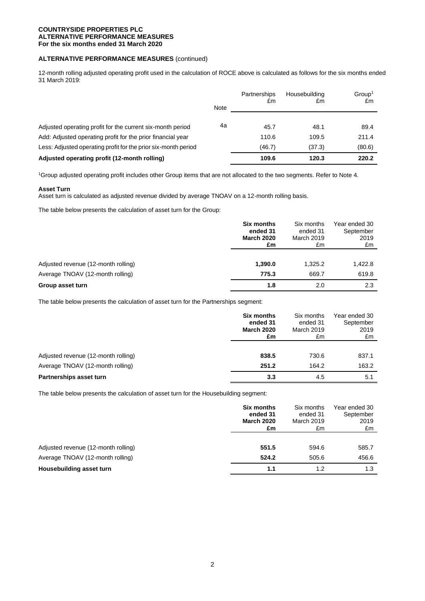## **ALTERNATIVE PERFORMANCE MEASURES** (continued)

12-month rolling adjusted operating profit used in the calculation of ROCE above is calculated as follows for the six months ended 31 March 2019:

|                                                                |      | Partnerships<br>£m | Housebuilding<br>£m | Group <sup>1</sup><br>£m |
|----------------------------------------------------------------|------|--------------------|---------------------|--------------------------|
|                                                                | Note |                    |                     |                          |
| Adjusted operating profit for the current six-month period     | 4a   | 45.7               | 48.1                | 89.4                     |
| Add: Adjusted operating profit for the prior financial year    |      | 110.6              | 109.5               | 211.4                    |
| Less: Adjusted operating profit for the prior six-month period |      | (46.7)             | (37.3)              | (80.6)                   |
| Adjusted operating profit (12-month rolling)                   |      | 109.6              | 120.3               | 220.2                    |

<sup>1</sup>Group adjusted operating profit includes other Group items that are not allocated to the two segments. Refer to Note 4.

### **Asset Turn**

Asset turn is calculated as adjusted revenue divided by average TNOAV on a 12-month rolling basis.

The table below presents the calculation of asset turn for the Group:

|                                     | <b>Six months</b> | Six months | Year ended 30 |
|-------------------------------------|-------------------|------------|---------------|
|                                     | ended 31          | ended 31   | September     |
|                                     | <b>March 2020</b> | March 2019 | 2019          |
|                                     | £m                | £m         | £m            |
| Adjusted revenue (12-month rolling) | 1,390.0           | 1.325.2    | 1,422.8       |
| Average TNOAV (12-month rolling)    | 775.3             | 669.7      | 619.8         |
| Group asset turn                    | 1.8               | 2.0        | 2.3           |

The table below presents the calculation of asset turn for the Partnerships segment:

|                                     | Six months        | Six months | Year ended 30 |
|-------------------------------------|-------------------|------------|---------------|
|                                     | ended 31          | ended 31   | September     |
|                                     | <b>March 2020</b> | March 2019 | 2019          |
|                                     | £m                | £m         | £m            |
| Adjusted revenue (12-month rolling) | 838.5             | 730.6      | 837.1         |
| Average TNOAV (12-month rolling)    | 251.2             | 164.2      | 163.2         |
| Partnerships asset turn             | 3.3               | 4.5        | 5.1           |

The table below presents the calculation of asset turn for the Housebuilding segment:

|                                     | <b>Six months</b> | Six months | Year ended 30 |
|-------------------------------------|-------------------|------------|---------------|
|                                     | ended 31          | ended 31   | September     |
|                                     | <b>March 2020</b> | March 2019 | 2019          |
|                                     | £m                | £m         | £m            |
| Adjusted revenue (12-month rolling) | 551.5             | 594.6      | 585.7         |
| Average TNOAV (12-month rolling)    | 524.2             | 505.6      | 456.6         |
| Housebuilding asset turn            | 1.1               | 1.2        | 1.3           |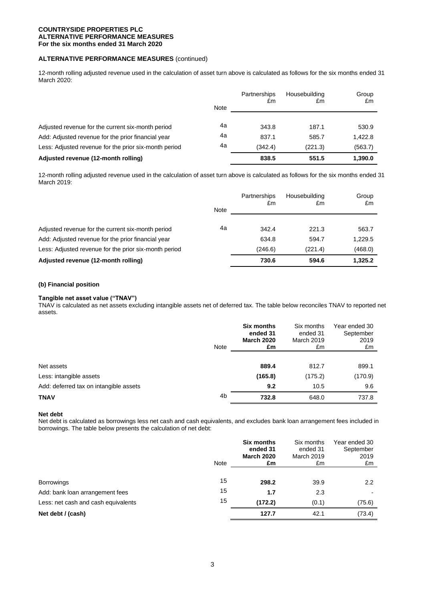## **ALTERNATIVE PERFORMANCE MEASURES** (continued)

12-month rolling adjusted revenue used in the calculation of asset turn above is calculated as follows for the six months ended 31 March 2020:

|                                                       |      | Partnerships<br>£m | Housebuilding<br>£m | Group<br>£m |
|-------------------------------------------------------|------|--------------------|---------------------|-------------|
|                                                       | Note |                    |                     |             |
| Adjusted revenue for the current six-month period     | 4a   | 343.8              | 187.1               | 530.9       |
| Add: Adjusted revenue for the prior financial year    | 4a   | 837.1              | 585.7               | 1.422.8     |
| Less: Adjusted revenue for the prior six-month period | 4a   | (342.4)            | (221.3)             | (563.7)     |
| Adjusted revenue (12-month rolling)                   |      | 838.5              | 551.5               | 1.390.0     |

12-month rolling adjusted revenue used in the calculation of asset turn above is calculated as follows for the six months ended 31 March 2019:

|                                                       | Note | Partnerships<br>£m | Housebuilding<br>£m | Group<br>£m |
|-------------------------------------------------------|------|--------------------|---------------------|-------------|
| Adjusted revenue for the current six-month period     | 4a   | 342.4              | 221.3               | 563.7       |
| Add: Adjusted revenue for the prior financial year    |      | 634.8              | 594.7               | 1,229.5     |
| Less: Adjusted revenue for the prior six-month period |      | (246.6)            | (221.4)             | (468.0)     |
| Adjusted revenue (12-month rolling)                   |      | 730.6              | 594.6               | 1,325.2     |

### **(b) Financial position**

### **Tangible net asset value ("TNAV")**

TNAV is calculated as net assets excluding intangible assets net of deferred tax. The table below reconciles TNAV to reported net assets.

|                                        | Note           | <b>Six months</b><br>Six months<br>ended 31<br>ended 31<br><b>March 2020</b><br><b>March 2019</b><br>£m<br>£m | Year ended 30<br>September<br>2019<br>£m |         |
|----------------------------------------|----------------|---------------------------------------------------------------------------------------------------------------|------------------------------------------|---------|
|                                        |                |                                                                                                               |                                          |         |
| Net assets                             |                | 889.4                                                                                                         | 812.7                                    | 899.1   |
| Less: intangible assets                |                | (165.8)                                                                                                       | (175.2)                                  | (170.9) |
| Add: deferred tax on intangible assets |                | 9.2                                                                                                           | 10.5                                     | 9.6     |
| <b>TNAV</b>                            | 4 <sub>b</sub> | 732.8                                                                                                         | 648.0                                    | 737.8   |

#### **Net debt**

Net debt is calculated as borrowings less net cash and cash equivalents, and excludes bank loan arrangement fees included in borrowings. The table below presents the calculation of net debt:

|                                     | Note | <b>Six months</b><br>ended 31<br><b>March 2020</b><br>£m | Six months<br>ended 31<br><b>March 2019</b><br>£m | Year ended 30<br>September<br>2019<br>£m |
|-------------------------------------|------|----------------------------------------------------------|---------------------------------------------------|------------------------------------------|
| <b>Borrowings</b>                   | 15   | 298.2                                                    | 39.9                                              | 2.2                                      |
| Add: bank loan arrangement fees     | 15   | 1.7                                                      | 2.3                                               |                                          |
| Less: net cash and cash equivalents | 15   | (172.2)                                                  | (0.1)                                             | (75.6)                                   |
| Net debt / (cash)                   |      | 127.7                                                    | 42.1                                              | (73.4)                                   |